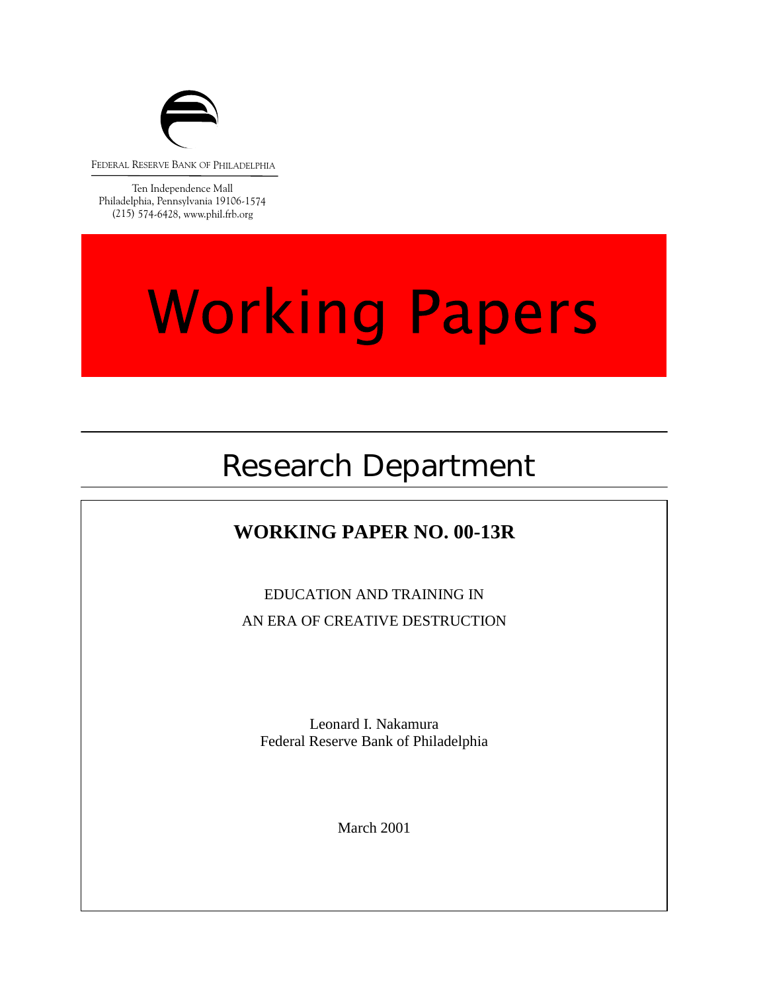

FEDERAL RESERVE BANK OF PHILADELPHIA

Ten Independence Mall Philadelphia, Pennsylvania 19106-1574 (215) 574-6428, www.phil.frb.org

# **Working Papers**

## Research Department

### **WORKING PAPER NO. 00-13R**

EDUCATION AND TRAINING IN AN ERA OF CREATIVE DESTRUCTION

 $\frac{1}{2}$ Leonard I. Nakamura Federal Reserve Bank of Philadelphia

March 2001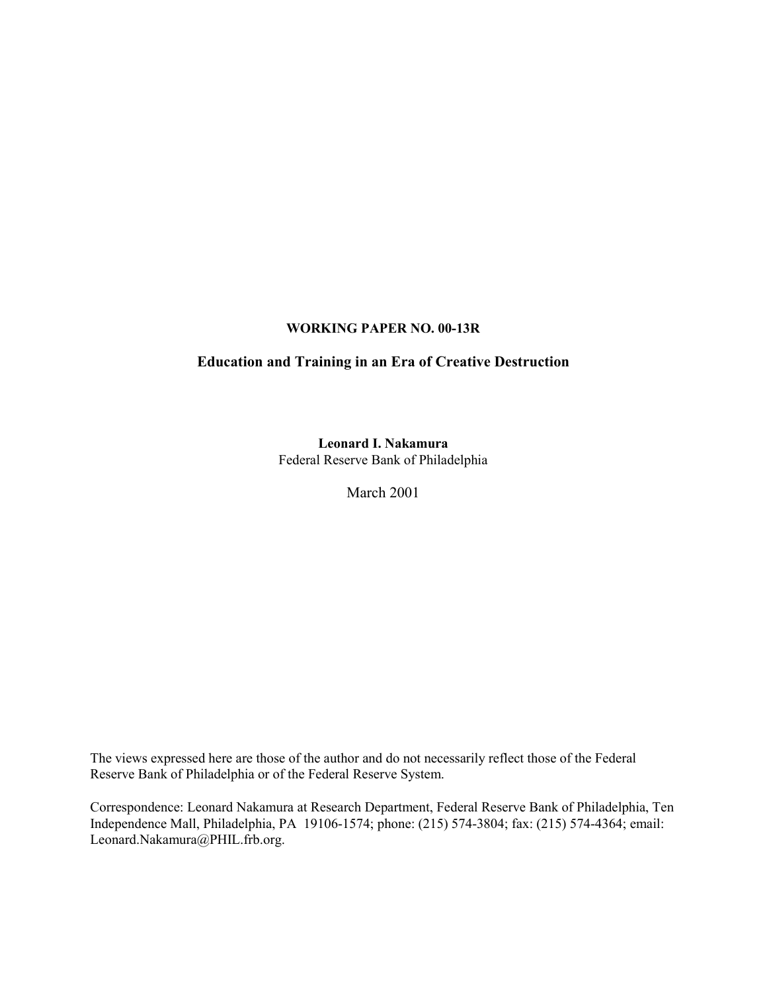#### **WORKING PAPER NO. 00-13R**

#### **Education and Training in an Era of Creative Destruction**

**Leonard I. Nakamura** Federal Reserve Bank of Philadelphia

March 2001

The views expressed here are those of the author and do not necessarily reflect those of the Federal Reserve Bank of Philadelphia or of the Federal Reserve System.

Correspondence: Leonard Nakamura at Research Department, Federal Reserve Bank of Philadelphia, Ten Independence Mall, Philadelphia, PA 19106-1574; phone: (215) 574-3804; fax: (215) 574-4364; email: Leonard.Nakamura@PHIL.frb.org.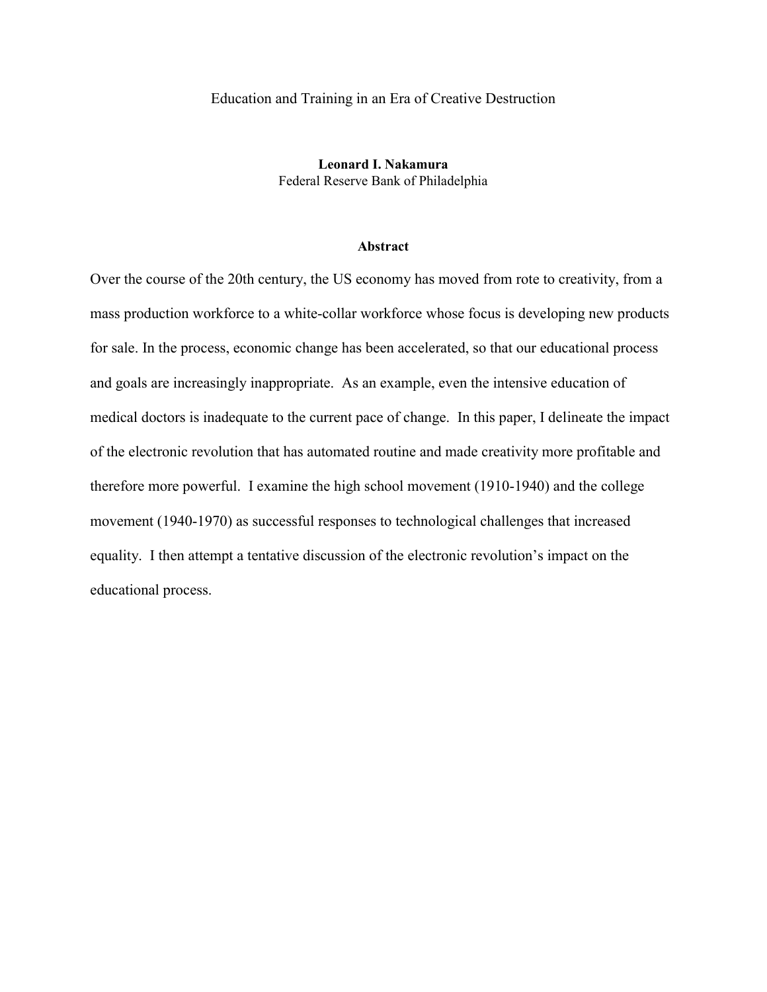#### Education and Training in an Era of Creative Destruction

**Leonard I. Nakamura** Federal Reserve Bank of Philadelphia

#### **Abstract**

Over the course of the 20th century, the US economy has moved from rote to creativity, from a mass production workforce to a white-collar workforce whose focus is developing new products for sale. In the process, economic change has been accelerated, so that our educational process and goals are increasingly inappropriate. As an example, even the intensive education of medical doctors is inadequate to the current pace of change. In this paper, I delineate the impact of the electronic revolution that has automated routine and made creativity more profitable and therefore more powerful. I examine the high school movement (1910-1940) and the college movement (1940-1970) as successful responses to technological challenges that increased equality. I then attempt a tentative discussion of the electronic revolution's impact on the educational process.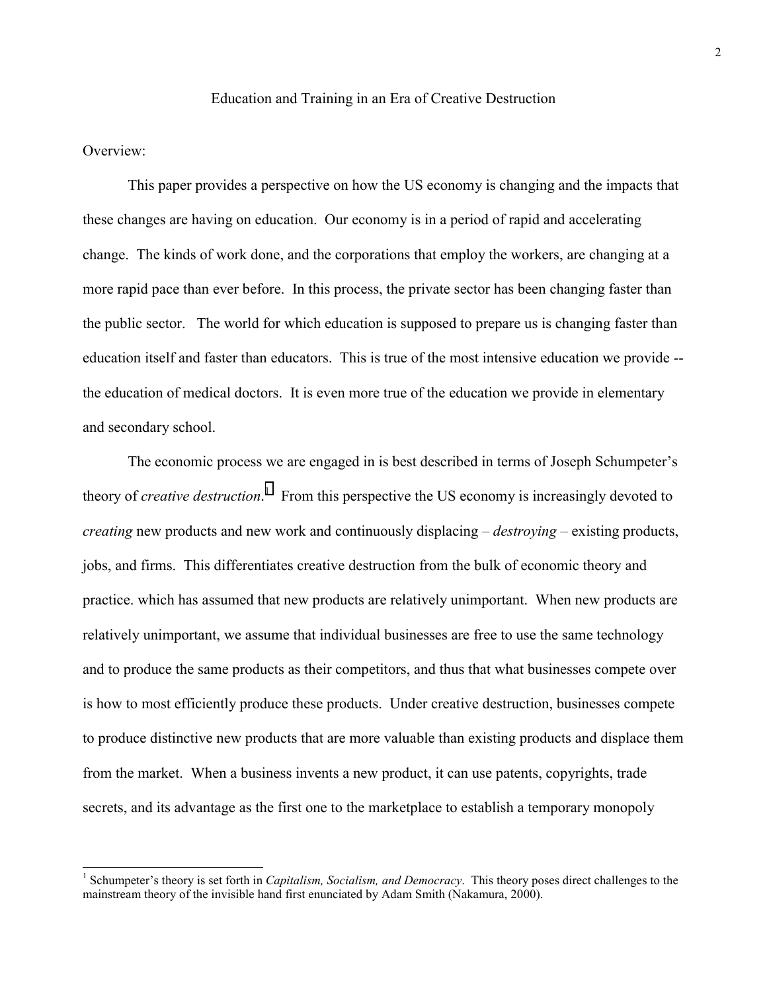#### Education and Training in an Era of Creative Destruction

#### Overview:

 $\overline{a}$ 

This paper provides a perspective on how the US economy is changing and the impacts that these changes are having on education. Our economy is in a period of rapid and accelerating change. The kinds of work done, and the corporations that employ the workers, are changing at a more rapid pace than ever before. In this process, the private sector has been changing faster than the public sector. The world for which education is supposed to prepare us is changing faster than education itself and faster than educators. This is true of the most intensive education we provide - the education of medical doctors. It is even more true of the education we provide in elementary and secondary school.

The economic process we are engaged in is best described in terms of Joseph Schumpeter's theory of *creative destruction*. 1 From this perspective the US economy is increasingly devoted to *creating* new products and new work and continuously displacing – *destroying* – existing products, jobs, and firms. This differentiates creative destruction from the bulk of economic theory and practice. which has assumed that new products are relatively unimportant. When new products are relatively unimportant, we assume that individual businesses are free to use the same technology and to produce the same products as their competitors, and thus that what businesses compete over is how to most efficiently produce these products. Under creative destruction, businesses compete to produce distinctive new products that are more valuable than existing products and displace them from the market. When a business invents a new product, it can use patents, copyrights, trade secrets, and its advantage as the first one to the marketplace to establish a temporary monopoly

<sup>&</sup>lt;sup>1</sup> Schumpeter's theory is set forth in *Capitalism, Socialism, and Democracy*. This theory poses direct challenges to the mainstream theory of the invisible hand first enunciated by Adam Smith (Nakamura, 2000).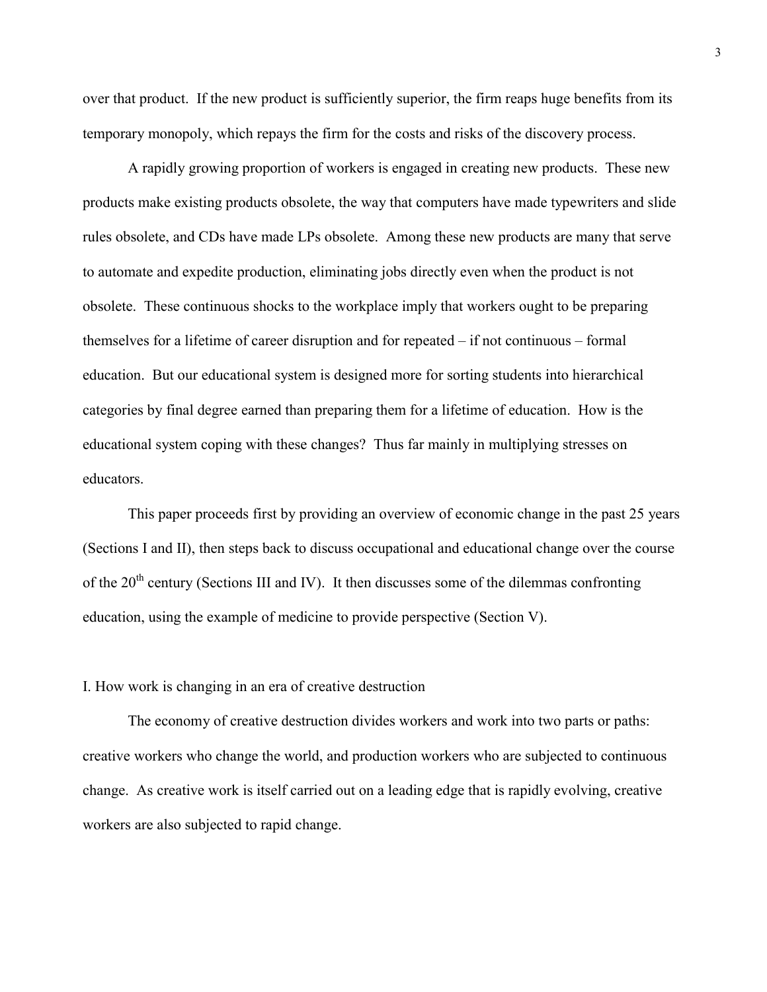over that product. If the new product is sufficiently superior, the firm reaps huge benefits from its temporary monopoly, which repays the firm for the costs and risks of the discovery process.

A rapidly growing proportion of workers is engaged in creating new products. These new products make existing products obsolete, the way that computers have made typewriters and slide rules obsolete, and CDs have made LPs obsolete. Among these new products are many that serve to automate and expedite production, eliminating jobs directly even when the product is not obsolete. These continuous shocks to the workplace imply that workers ought to be preparing themselves for a lifetime of career disruption and for repeated – if not continuous – formal education. But our educational system is designed more for sorting students into hierarchical categories by final degree earned than preparing them for a lifetime of education. How is the educational system coping with these changes? Thus far mainly in multiplying stresses on educators.

This paper proceeds first by providing an overview of economic change in the past 25 years (Sections I and II), then steps back to discuss occupational and educational change over the course of the  $20<sup>th</sup>$  century (Sections III and IV). It then discusses some of the dilemmas confronting education, using the example of medicine to provide perspective (Section V).

#### I. How work is changing in an era of creative destruction

The economy of creative destruction divides workers and work into two parts or paths: creative workers who change the world, and production workers who are subjected to continuous change. As creative work is itself carried out on a leading edge that is rapidly evolving, creative workers are also subjected to rapid change.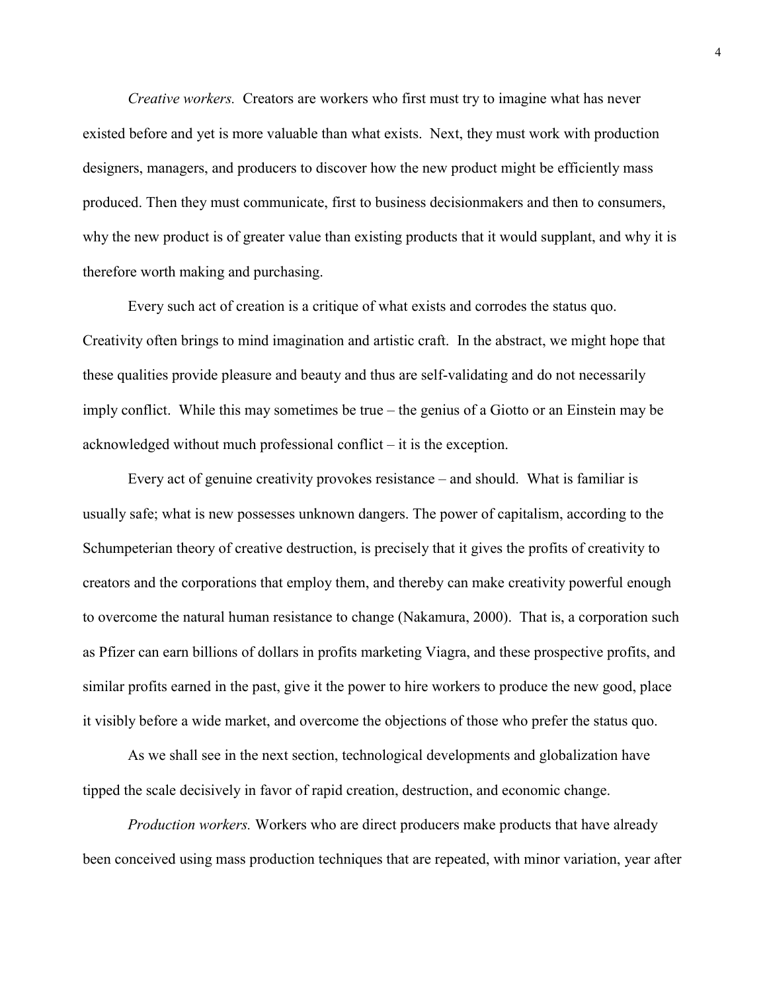*Creative workers.* Creators are workers who first must try to imagine what has never existed before and yet is more valuable than what exists. Next, they must work with production designers, managers, and producers to discover how the new product might be efficiently mass produced. Then they must communicate, first to business decisionmakers and then to consumers, why the new product is of greater value than existing products that it would supplant, and why it is therefore worth making and purchasing.

Every such act of creation is a critique of what exists and corrodes the status quo. Creativity often brings to mind imagination and artistic craft. In the abstract, we might hope that these qualities provide pleasure and beauty and thus are self-validating and do not necessarily imply conflict. While this may sometimes be true – the genius of a Giotto or an Einstein may be acknowledged without much professional conflict – it is the exception.

Every act of genuine creativity provokes resistance – and should. What is familiar is usually safe; what is new possesses unknown dangers. The power of capitalism, according to the Schumpeterian theory of creative destruction, is precisely that it gives the profits of creativity to creators and the corporations that employ them, and thereby can make creativity powerful enough to overcome the natural human resistance to change (Nakamura, 2000). That is, a corporation such as Pfizer can earn billions of dollars in profits marketing Viagra, and these prospective profits, and similar profits earned in the past, give it the power to hire workers to produce the new good, place it visibly before a wide market, and overcome the objections of those who prefer the status quo.

As we shall see in the next section, technological developments and globalization have tipped the scale decisively in favor of rapid creation, destruction, and economic change.

*Production workers.* Workers who are direct producers make products that have already been conceived using mass production techniques that are repeated, with minor variation, year after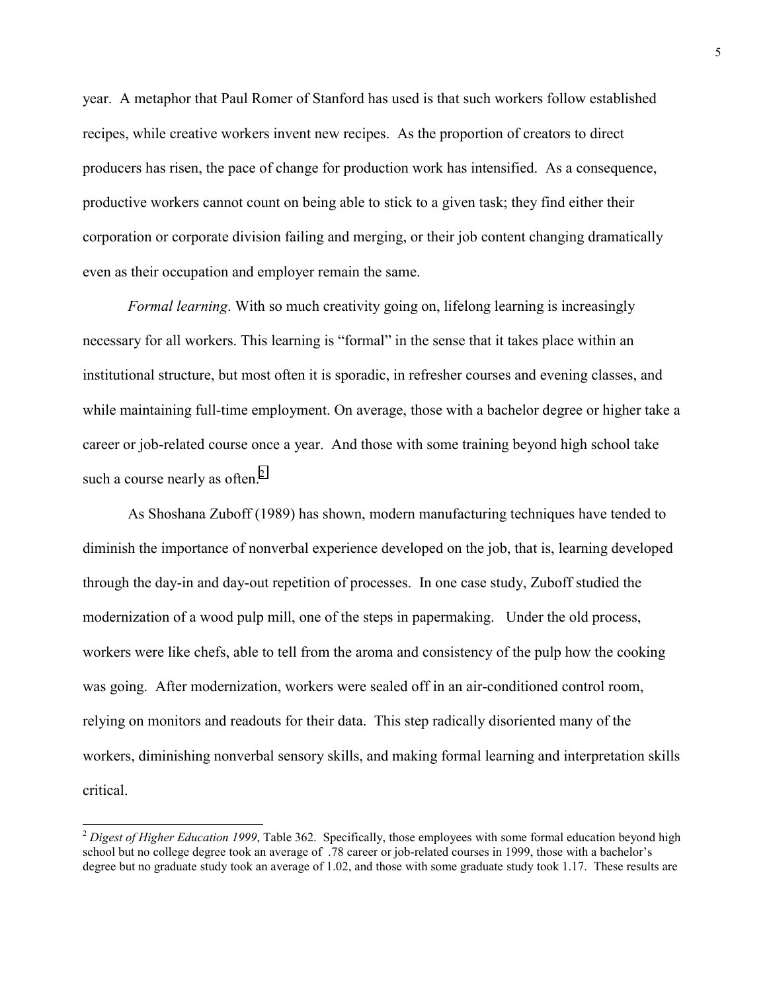year. A metaphor that Paul Romer of Stanford has used is that such workers follow established recipes, while creative workers invent new recipes. As the proportion of creators to direct producers has risen, the pace of change for production work has intensified. As a consequence, productive workers cannot count on being able to stick to a given task; they find either their corporation or corporate division failing and merging, or their job content changing dramatically even as their occupation and employer remain the same.

*Formal learning*. With so much creativity going on, lifelong learning is increasingly necessary for all workers. This learning is "formal" in the sense that it takes place within an institutional structure, but most often it is sporadic, in refresher courses and evening classes, and while maintaining full-time employment. On average, those with a bachelor degree or higher take a career or job-related course once a year. And those with some training beyond high school take such a course nearly as often. $<sup>2</sup>$ </sup>

As Shoshana Zuboff (1989) has shown, modern manufacturing techniques have tended to diminish the importance of nonverbal experience developed on the job, that is, learning developed through the day-in and day-out repetition of processes. In one case study, Zuboff studied the modernization of a wood pulp mill, one of the steps in papermaking. Under the old process, workers were like chefs, able to tell from the aroma and consistency of the pulp how the cooking was going. After modernization, workers were sealed off in an air-conditioned control room, relying on monitors and readouts for their data. This step radically disoriented many of the workers, diminishing nonverbal sensory skills, and making formal learning and interpretation skills critical.

l

<sup>2</sup> *Digest of Higher Education 1999*, Table 362. Specifically, those employees with some formal education beyond high school but no college degree took an average of .78 career or job-related courses in 1999, those with a bachelor's degree but no graduate study took an average of 1.02, and those with some graduate study took 1.17. These results are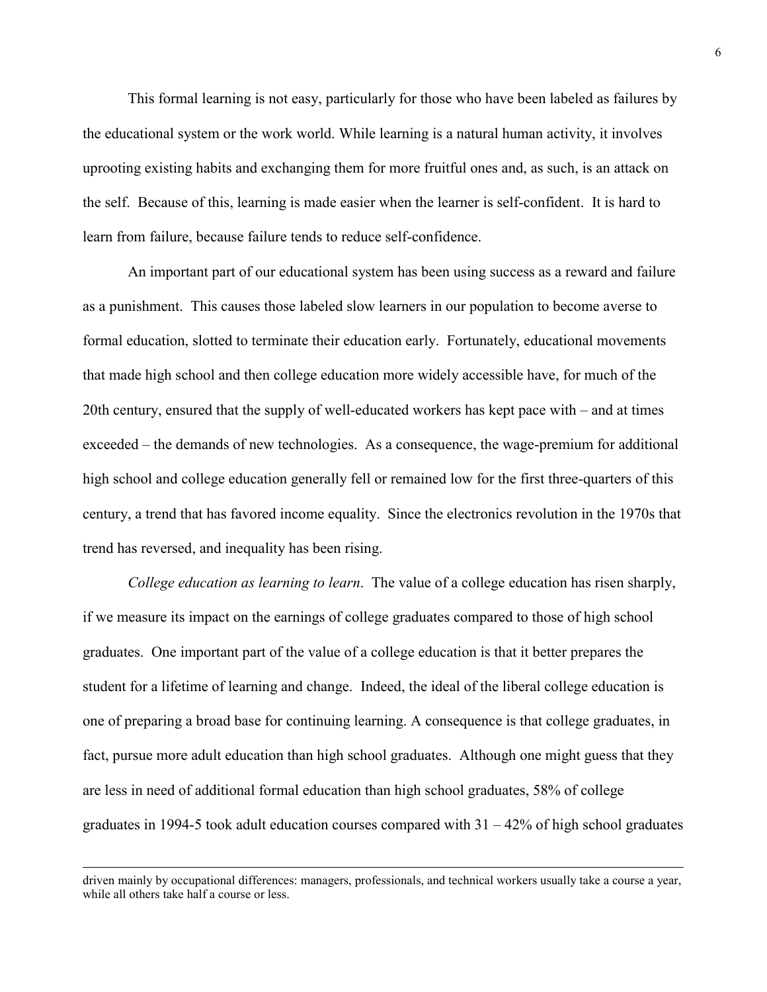This formal learning is not easy, particularly for those who have been labeled as failures by the educational system or the work world. While learning is a natural human activity, it involves uprooting existing habits and exchanging them for more fruitful ones and, as such, is an attack on the self. Because of this, learning is made easier when the learner is self-confident. It is hard to learn from failure, because failure tends to reduce self-confidence.

An important part of our educational system has been using success as a reward and failure as a punishment. This causes those labeled slow learners in our population to become averse to formal education, slotted to terminate their education early. Fortunately, educational movements that made high school and then college education more widely accessible have, for much of the 20th century, ensured that the supply of well-educated workers has kept pace with – and at times exceeded – the demands of new technologies. As a consequence, the wage-premium for additional high school and college education generally fell or remained low for the first three-quarters of this century, a trend that has favored income equality. Since the electronics revolution in the 1970s that trend has reversed, and inequality has been rising.

*College education as learning to learn*. The value of a college education has risen sharply, if we measure its impact on the earnings of college graduates compared to those of high school graduates. One important part of the value of a college education is that it better prepares the student for a lifetime of learning and change. Indeed, the ideal of the liberal college education is one of preparing a broad base for continuing learning. A consequence is that college graduates, in fact, pursue more adult education than high school graduates. Although one might guess that they are less in need of additional formal education than high school graduates, 58% of college graduates in 1994-5 took adult education courses compared with  $31 - 42\%$  of high school graduates

driven mainly by occupational differences: managers, professionals, and technical workers usually take a course a year, while all others take half a course or less.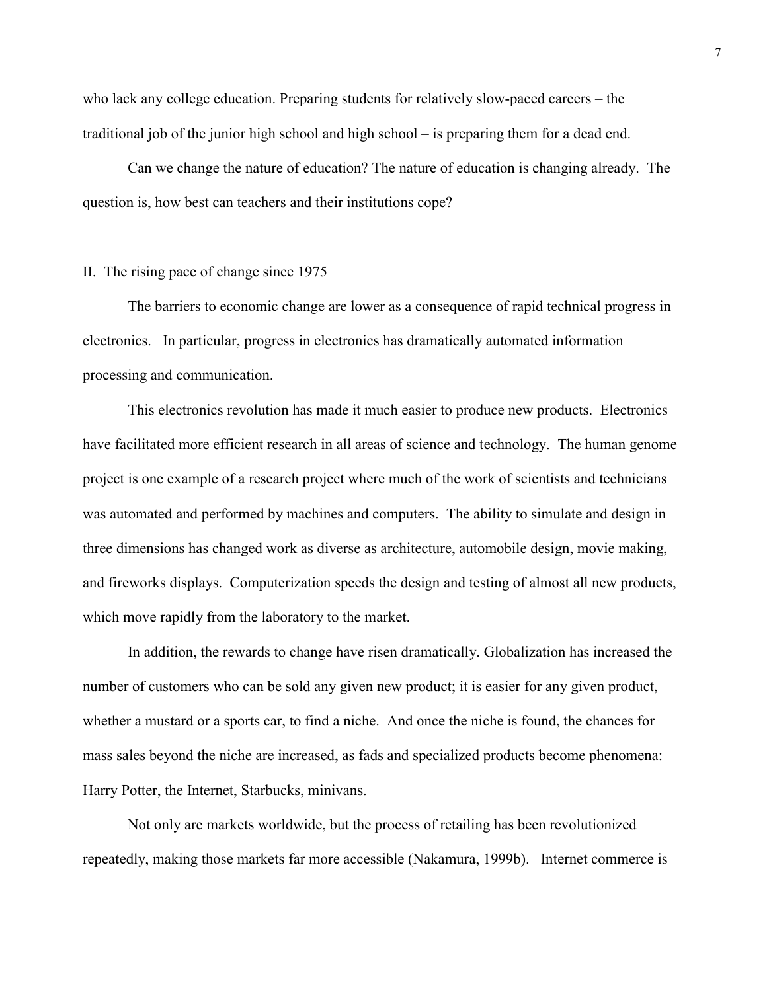who lack any college education. Preparing students for relatively slow-paced careers – the traditional job of the junior high school and high school – is preparing them for a dead end.

Can we change the nature of education? The nature of education is changing already. The question is, how best can teachers and their institutions cope?

#### II. The rising pace of change since 1975

The barriers to economic change are lower as a consequence of rapid technical progress in electronics. In particular, progress in electronics has dramatically automated information processing and communication.

This electronics revolution has made it much easier to produce new products. Electronics have facilitated more efficient research in all areas of science and technology. The human genome project is one example of a research project where much of the work of scientists and technicians was automated and performed by machines and computers. The ability to simulate and design in three dimensions has changed work as diverse as architecture, automobile design, movie making, and fireworks displays. Computerization speeds the design and testing of almost all new products, which move rapidly from the laboratory to the market.

In addition, the rewards to change have risen dramatically. Globalization has increased the number of customers who can be sold any given new product; it is easier for any given product, whether a mustard or a sports car, to find a niche. And once the niche is found, the chances for mass sales beyond the niche are increased, as fads and specialized products become phenomena: Harry Potter, the Internet, Starbucks, minivans.

Not only are markets worldwide, but the process of retailing has been revolutionized repeatedly, making those markets far more accessible (Nakamura, 1999b). Internet commerce is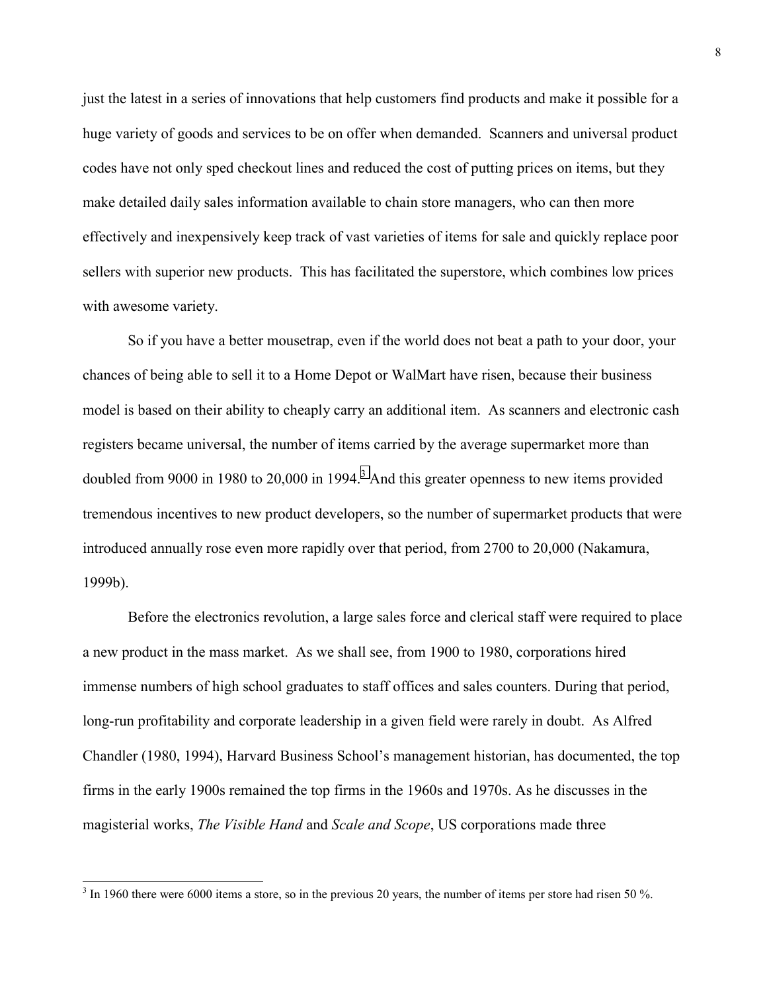just the latest in a series of innovations that help customers find products and make it possible for a huge variety of goods and services to be on offer when demanded. Scanners and universal product codes have not only sped checkout lines and reduced the cost of putting prices on items, but they make detailed daily sales information available to chain store managers, who can then more effectively and inexpensively keep track of vast varieties of items for sale and quickly replace poor sellers with superior new products. This has facilitated the superstore, which combines low prices with awesome variety.

So if you have a better mousetrap, even if the world does not beat a path to your door, your chances of being able to sell it to a Home Depot or WalMart have risen, because their business model is based on their ability to cheaply carry an additional item. As scanners and electronic cash registers became universal, the number of items carried by the average supermarket more than doubled from 9000 in 1980 to 20,000 in 1994.<sup>3</sup> And this greater openness to new items provided tremendous incentives to new product developers, so the number of supermarket products that were introduced annually rose even more rapidly over that period, from 2700 to 20,000 (Nakamura, 1999b).

Before the electronics revolution, a large sales force and clerical staff were required to place a new product in the mass market. As we shall see, from 1900 to 1980, corporations hired immense numbers of high school graduates to staff offices and sales counters. During that period, long-run profitability and corporate leadership in a given field were rarely in doubt. As Alfred Chandler (1980, 1994), Harvard Business School's management historian, has documented, the top firms in the early 1900s remained the top firms in the 1960s and 1970s. As he discusses in the magisterial works, *The Visible Hand* and *Scale and Scope*, US corporations made three

 $3 \text{ In } 1960$  there were 6000 items a store, so in the previous 20 years, the number of items per store had risen 50 %.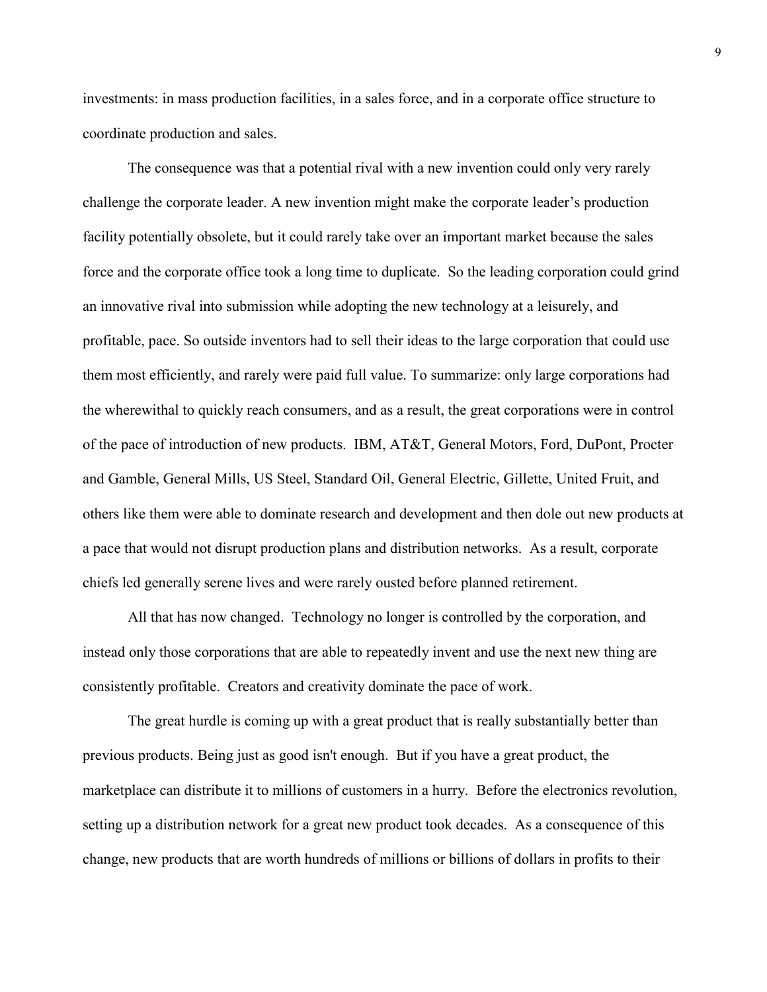investments: in mass production facilities, in a sales force, and in a corporate office structure to coordinate production and sales.

The consequence was that a potential rival with a new invention could only very rarely challenge the corporate leader. A new invention might make the corporate leader's production facility potentially obsolete, but it could rarely take over an important market because the sales force and the corporate office took a long time to duplicate. So the leading corporation could grind an innovative rival into submission while adopting the new technology at a leisurely, and profitable, pace. So outside inventors had to sell their ideas to the large corporation that could use them most efficiently, and rarely were paid full value. To summarize: only large corporations had the wherewithal to quickly reach consumers, and as a result, the great corporations were in control of the pace of introduction of new products. IBM, AT&T, General Motors, Ford, DuPont, Procter and Gamble, General Mills, US Steel, Standard Oil, General Electric, Gillette, United Fruit, and others like them were able to dominate research and development and then dole out new products at a pace that would not disrupt production plans and distribution networks. As a result, corporate chiefs led generally serene lives and were rarely ousted before planned retirement.

All that has now changed. Technology no longer is controlled by the corporation, and instead only those corporations that are able to repeatedly invent and use the next new thing are consistently profitable. Creators and creativity dominate the pace of work.

The great hurdle is coming up with a great product that is really substantially better than previous products. Being just as good isn't enough. But if you have a great product, the marketplace can distribute it to millions of customers in a hurry. Before the electronics revolution, setting up a distribution network for a great new product took decades. As a consequence of this change, new products that are worth hundreds of millions or billions of dollars in profits to their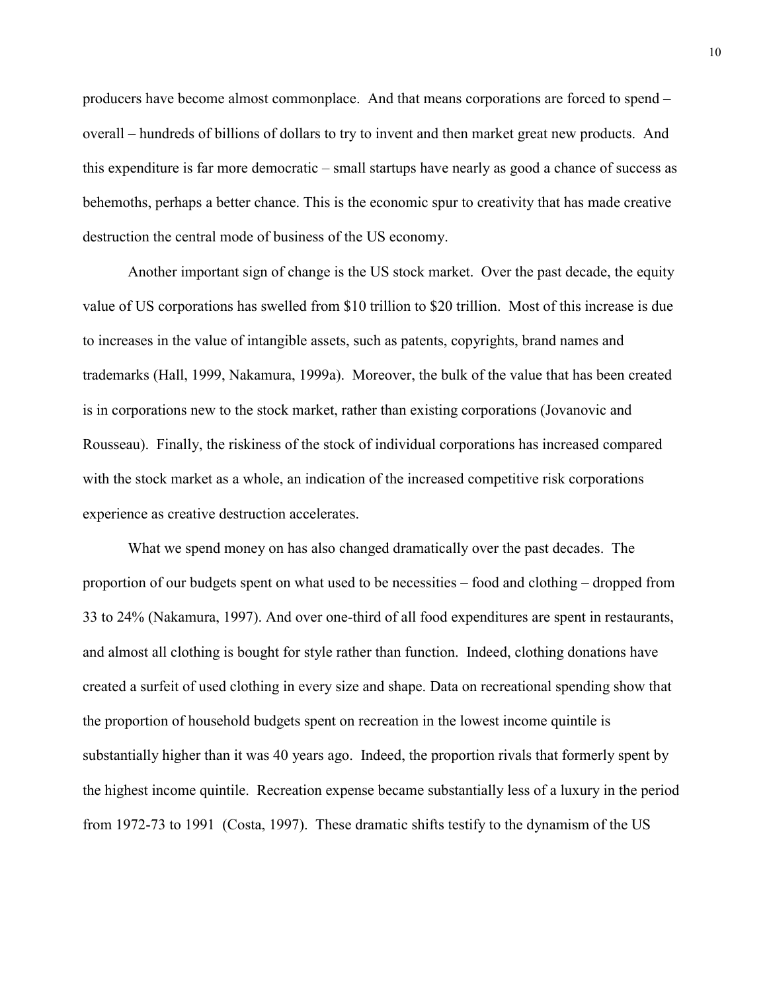producers have become almost commonplace. And that means corporations are forced to spend – overall – hundreds of billions of dollars to try to invent and then market great new products. And this expenditure is far more democratic – small startups have nearly as good a chance of success as behemoths, perhaps a better chance. This is the economic spur to creativity that has made creative destruction the central mode of business of the US economy.

Another important sign of change is the US stock market. Over the past decade, the equity value of US corporations has swelled from \$10 trillion to \$20 trillion. Most of this increase is due to increases in the value of intangible assets, such as patents, copyrights, brand names and trademarks (Hall, 1999, Nakamura, 1999a). Moreover, the bulk of the value that has been created is in corporations new to the stock market, rather than existing corporations (Jovanovic and Rousseau). Finally, the riskiness of the stock of individual corporations has increased compared with the stock market as a whole, an indication of the increased competitive risk corporations experience as creative destruction accelerates.

What we spend money on has also changed dramatically over the past decades. The proportion of our budgets spent on what used to be necessities – food and clothing – dropped from 33 to 24% (Nakamura, 1997). And over one-third of all food expenditures are spent in restaurants, and almost all clothing is bought for style rather than function. Indeed, clothing donations have created a surfeit of used clothing in every size and shape. Data on recreational spending show that the proportion of household budgets spent on recreation in the lowest income quintile is substantially higher than it was 40 years ago. Indeed, the proportion rivals that formerly spent by the highest income quintile. Recreation expense became substantially less of a luxury in the period from 1972-73 to 1991 (Costa, 1997). These dramatic shifts testify to the dynamism of the US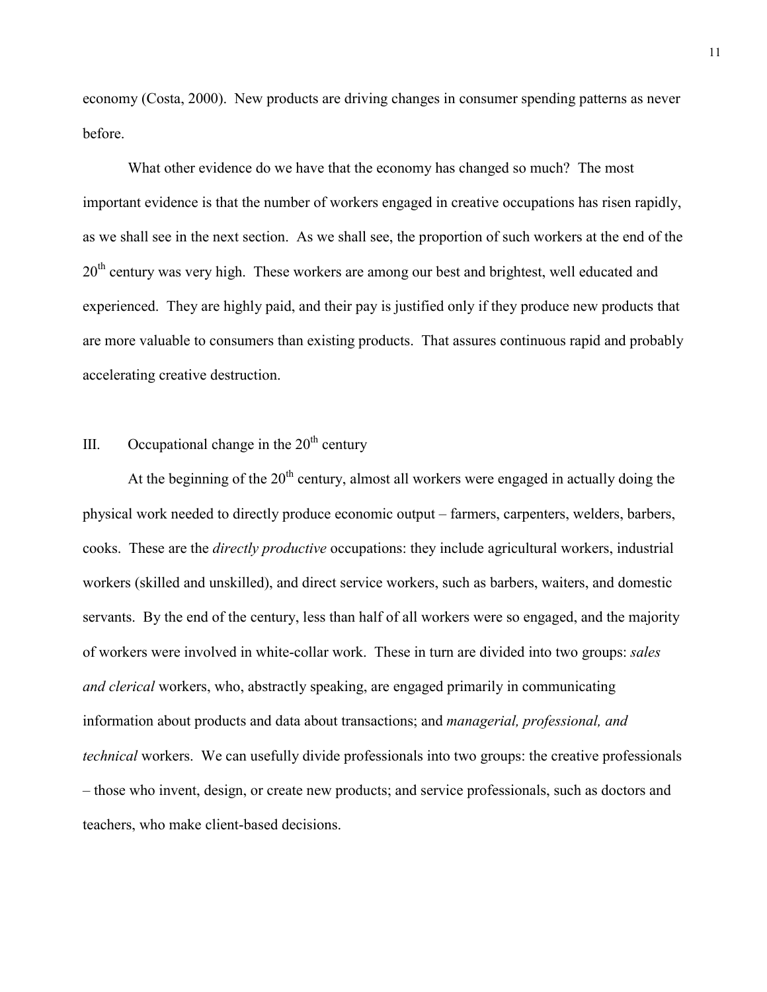economy (Costa, 2000). New products are driving changes in consumer spending patterns as never before.

What other evidence do we have that the economy has changed so much? The most important evidence is that the number of workers engaged in creative occupations has risen rapidly, as we shall see in the next section. As we shall see, the proportion of such workers at the end of the 20<sup>th</sup> century was very high. These workers are among our best and brightest, well educated and experienced. They are highly paid, and their pay is justified only if they produce new products that are more valuable to consumers than existing products. That assures continuous rapid and probably accelerating creative destruction.

#### III. Occupational change in the  $20<sup>th</sup>$  century

At the beginning of the  $20<sup>th</sup>$  century, almost all workers were engaged in actually doing the physical work needed to directly produce economic output – farmers, carpenters, welders, barbers, cooks. These are the *directly productive* occupations: they include agricultural workers, industrial workers (skilled and unskilled), and direct service workers, such as barbers, waiters, and domestic servants. By the end of the century, less than half of all workers were so engaged, and the majority of workers were involved in white-collar work. These in turn are divided into two groups: *sales and clerical* workers, who, abstractly speaking, are engaged primarily in communicating information about products and data about transactions; and *managerial, professional, and technical* workers. We can usefully divide professionals into two groups: the creative professionals – those who invent, design, or create new products; and service professionals, such as doctors and teachers, who make client-based decisions.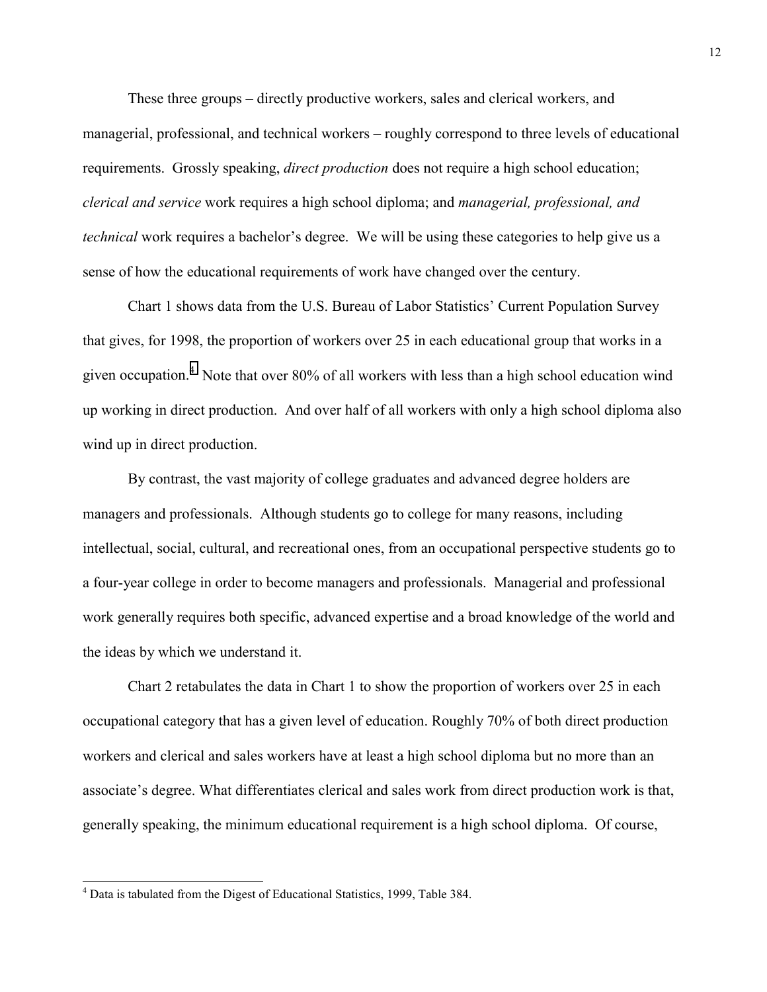These three groups – directly productive workers, sales and clerical workers, and managerial, professional, and technical workers – roughly correspond to three levels of educational requirements. Grossly speaking, *direct production* does not require a high school education; *clerical and service* work requires a high school diploma; and *managerial, professional, and technical* work requires a bachelor's degree. We will be using these categories to help give us a sense of how the educational requirements of work have changed over the century.

Chart 1 shows data from the U.S. Bureau of Labor Statistics' Current Population Survey that gives, for 1998, the proportion of workers over 25 in each educational group that works in a given occupation.<sup>4</sup> Note that over 80% of all workers with less than a high school education wind up working in direct production. And over half of all workers with only a high school diploma also wind up in direct production.

By contrast, the vast majority of college graduates and advanced degree holders are managers and professionals. Although students go to college for many reasons, including intellectual, social, cultural, and recreational ones, from an occupational perspective students go to a four-year college in order to become managers and professionals. Managerial and professional work generally requires both specific, advanced expertise and a broad knowledge of the world and the ideas by which we understand it.

Chart 2 retabulates the data in Chart 1 to show the proportion of workers over 25 in each occupational category that has a given level of education. Roughly 70% of both direct production workers and clerical and sales workers have at least a high school diploma but no more than an associate's degree. What differentiates clerical and sales work from direct production work is that, generally speaking, the minimum educational requirement is a high school diploma. Of course,

<sup>&</sup>lt;sup>4</sup> Data is tabulated from the Digest of Educational Statistics, 1999, Table 384.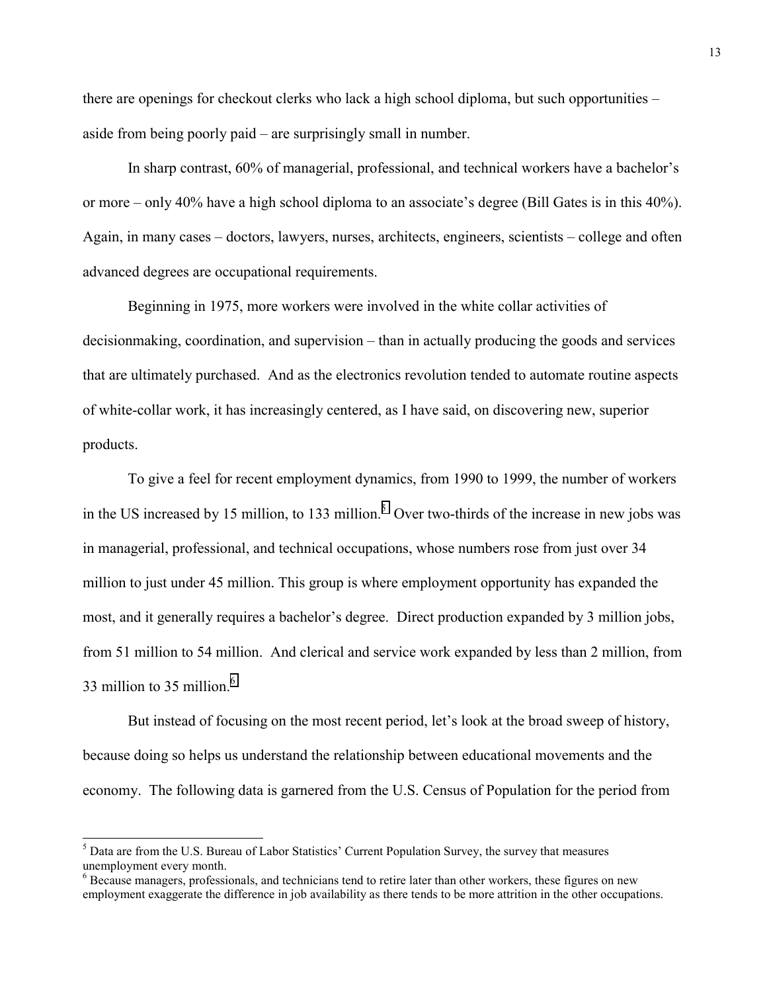there are openings for checkout clerks who lack a high school diploma, but such opportunities – aside from being poorly paid – are surprisingly small in number.

In sharp contrast, 60% of managerial, professional, and technical workers have a bachelor's or more – only 40% have a high school diploma to an associate's degree (Bill Gates is in this 40%). Again, in many cases – doctors, lawyers, nurses, architects, engineers, scientists – college and often advanced degrees are occupational requirements.

Beginning in 1975, more workers were involved in the white collar activities of decisionmaking, coordination, and supervision – than in actually producing the goods and services that are ultimately purchased. And as the electronics revolution tended to automate routine aspects of white-collar work, it has increasingly centered, as I have said, on discovering new, superior products.

To give a feel for recent employment dynamics, from 1990 to 1999, the number of workers in the US increased by 15 million, to 133 million.<sup>5</sup> Over two-thirds of the increase in new jobs was in managerial, professional, and technical occupations, whose numbers rose from just over 34 million to just under 45 million. This group is where employment opportunity has expanded the most, and it generally requires a bachelor's degree. Direct production expanded by 3 million jobs, from 51 million to 54 million. And clerical and service work expanded by less than 2 million, from 33 million to 35 million.<sup>6</sup>

But instead of focusing on the most recent period, let's look at the broad sweep of history, because doing so helps us understand the relationship between educational movements and the economy. The following data is garnered from the U.S. Census of Population for the period from

l

<sup>&</sup>lt;sup>5</sup> Data are from the U.S. Bureau of Labor Statistics' Current Population Survey, the survey that measures unemployment every month.

<sup>&</sup>lt;sup>6</sup> Because managers, professionals, and technicians tend to retire later than other workers, these figures on new employment exaggerate the difference in job availability as there tends to be more attrition in the other occupations.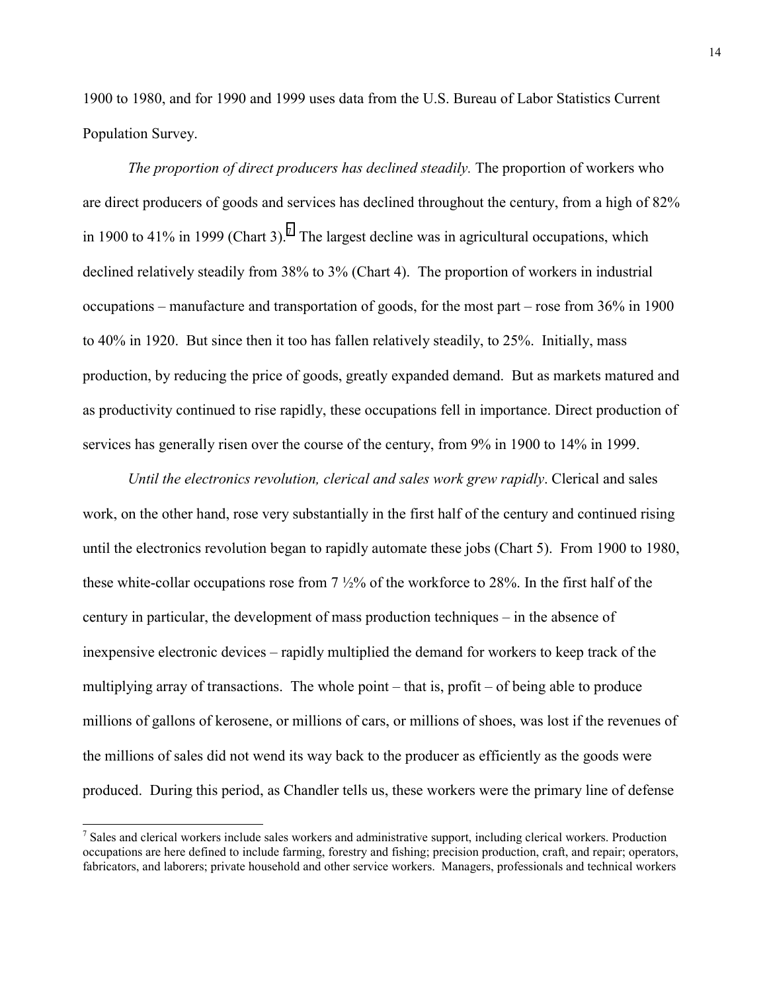1900 to 1980, and for 1990 and 1999 uses data from the U.S. Bureau of Labor Statistics Current Population Survey.

*The proportion of direct producers has declined steadily.* The proportion of workers who are direct producers of goods and services has declined throughout the century, from a high of 82% in 1900 to 41% in 1999 (Chart 3).<sup>7</sup> The largest decline was in agricultural occupations, which declined relatively steadily from 38% to 3% (Chart 4). The proportion of workers in industrial occupations – manufacture and transportation of goods, for the most part – rose from 36% in 1900 to 40% in 1920. But since then it too has fallen relatively steadily, to 25%. Initially, mass production, by reducing the price of goods, greatly expanded demand. But as markets matured and as productivity continued to rise rapidly, these occupations fell in importance. Direct production of services has generally risen over the course of the century, from 9% in 1900 to 14% in 1999.

*Until the electronics revolution, clerical and sales work grew rapidly*. Clerical and sales work, on the other hand, rose very substantially in the first half of the century and continued rising until the electronics revolution began to rapidly automate these jobs (Chart 5). From 1900 to 1980, these white-collar occupations rose from 7 ½% of the workforce to 28%. In the first half of the century in particular, the development of mass production techniques – in the absence of inexpensive electronic devices – rapidly multiplied the demand for workers to keep track of the multiplying array of transactions. The whole point – that is, profit – of being able to produce millions of gallons of kerosene, or millions of cars, or millions of shoes, was lost if the revenues of the millions of sales did not wend its way back to the producer as efficiently as the goods were produced. During this period, as Chandler tells us, these workers were the primary line of defense

<sup>&</sup>lt;sup>7</sup> Sales and clerical workers include sales workers and administrative support, including clerical workers. Production occupations are here defined to include farming, forestry and fishing; precision production, craft, and repair; operators, fabricators, and laborers; private household and other service workers. Managers, professionals and technical workers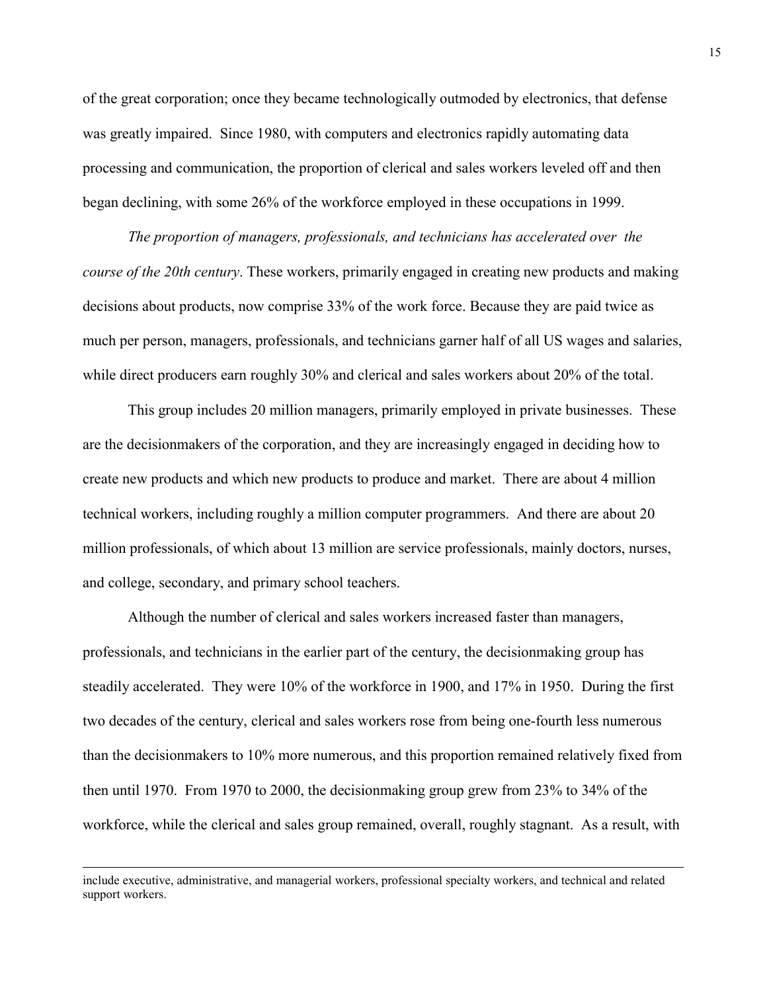of the great corporation; once they became technologically outmoded by electronics, that defense was greatly impaired. Since 1980, with computers and electronics rapidly automating data processing and communication, the proportion of clerical and sales workers leveled off and then began declining, with some 26% of the workforce employed in these occupations in 1999.

*The proportion of managers, professionals, and technicians has accelerated over the course of the 20th century*. These workers, primarily engaged in creating new products and making decisions about products, now comprise 33% of the work force. Because they are paid twice as much per person, managers, professionals, and technicians garner half of all US wages and salaries, while direct producers earn roughly 30% and clerical and sales workers about 20% of the total.

This group includes 20 million managers, primarily employed in private businesses. These are the decisionmakers of the corporation, and they are increasingly engaged in deciding how to create new products and which new products to produce and market. There are about 4 million technical workers, including roughly a million computer programmers. And there are about 20 million professionals, of which about 13 million are service professionals, mainly doctors, nurses, and college, secondary, and primary school teachers.

Although the number of clerical and sales workers increased faster than managers, professionals, and technicians in the earlier part of the century, the decisionmaking group has steadily accelerated. They were 10% of the workforce in 1900, and 17% in 1950. During the first two decades of the century, clerical and sales workers rose from being one-fourth less numerous than the decisionmakers to 10% more numerous, and this proportion remained relatively fixed from then until 1970. From 1970 to 2000, the decisionmaking group grew from 23% to 34% of the workforce, while the clerical and sales group remained, overall, roughly stagnant. As a result, with

include executive, administrative, and managerial workers, professional specialty workers, and technical and related support workers.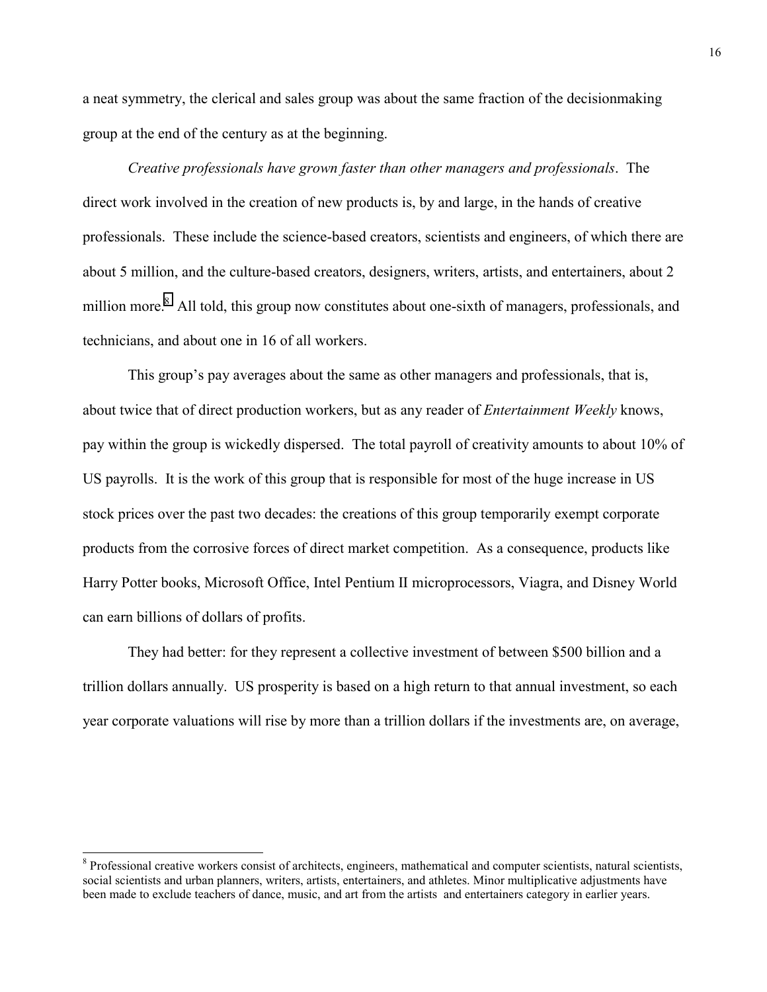a neat symmetry, the clerical and sales group was about the same fraction of the decisionmaking group at the end of the century as at the beginning.

*Creative professionals have grown faster than other managers and professionals*. The direct work involved in the creation of new products is, by and large, in the hands of creative professionals. These include the science-based creators, scientists and engineers, of which there are about 5 million, and the culture-based creators, designers, writers, artists, and entertainers, about 2 million more.<sup>8</sup> All told, this group now constitutes about one-sixth of managers, professionals, and technicians, and about one in 16 of all workers.

This group's pay averages about the same as other managers and professionals, that is, about twice that of direct production workers, but as any reader of *Entertainment Weekly* knows, pay within the group is wickedly dispersed. The total payroll of creativity amounts to about 10% of US payrolls. It is the work of this group that is responsible for most of the huge increase in US stock prices over the past two decades: the creations of this group temporarily exempt corporate products from the corrosive forces of direct market competition. As a consequence, products like Harry Potter books, Microsoft Office, Intel Pentium II microprocessors, Viagra, and Disney World can earn billions of dollars of profits.

They had better: for they represent a collective investment of between \$500 billion and a trillion dollars annually. US prosperity is based on a high return to that annual investment, so each year corporate valuations will rise by more than a trillion dollars if the investments are, on average,

<sup>&</sup>lt;sup>8</sup> Professional creative workers consist of architects, engineers, mathematical and computer scientists, natural scientists, social scientists and urban planners, writers, artists, entertainers, and athletes. Minor multiplicative adjustments have been made to exclude teachers of dance, music, and art from the artists and entertainers category in earlier years.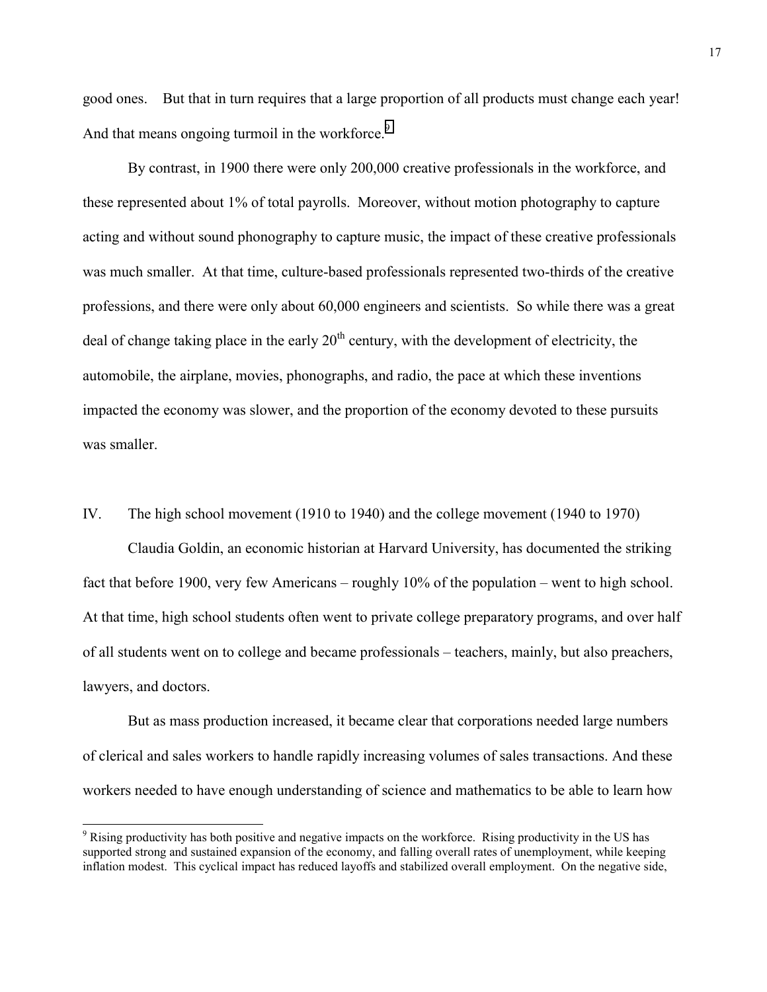good ones. But that in turn requires that a large proportion of all products must change each year! And that means ongoing turmoil in the workforce.<sup>9</sup>

By contrast, in 1900 there were only 200,000 creative professionals in the workforce, and these represented about 1% of total payrolls. Moreover, without motion photography to capture acting and without sound phonography to capture music, the impact of these creative professionals was much smaller. At that time, culture-based professionals represented two-thirds of the creative professions, and there were only about 60,000 engineers and scientists. So while there was a great deal of change taking place in the early  $20<sup>th</sup>$  century, with the development of electricity, the automobile, the airplane, movies, phonographs, and radio, the pace at which these inventions impacted the economy was slower, and the proportion of the economy devoted to these pursuits was smaller.

IV. The high school movement (1910 to 1940) and the college movement (1940 to 1970)

Claudia Goldin, an economic historian at Harvard University, has documented the striking fact that before 1900, very few Americans – roughly 10% of the population – went to high school. At that time, high school students often went to private college preparatory programs, and over half of all students went on to college and became professionals – teachers, mainly, but also preachers, lawyers, and doctors.

But as mass production increased, it became clear that corporations needed large numbers of clerical and sales workers to handle rapidly increasing volumes of sales transactions. And these workers needed to have enough understanding of science and mathematics to be able to learn how

<sup>&</sup>lt;sup>9</sup> Rising productivity has both positive and negative impacts on the workforce. Rising productivity in the US has supported strong and sustained expansion of the economy, and falling overall rates of unemployment, while keeping inflation modest. This cyclical impact has reduced layoffs and stabilized overall employment. On the negative side,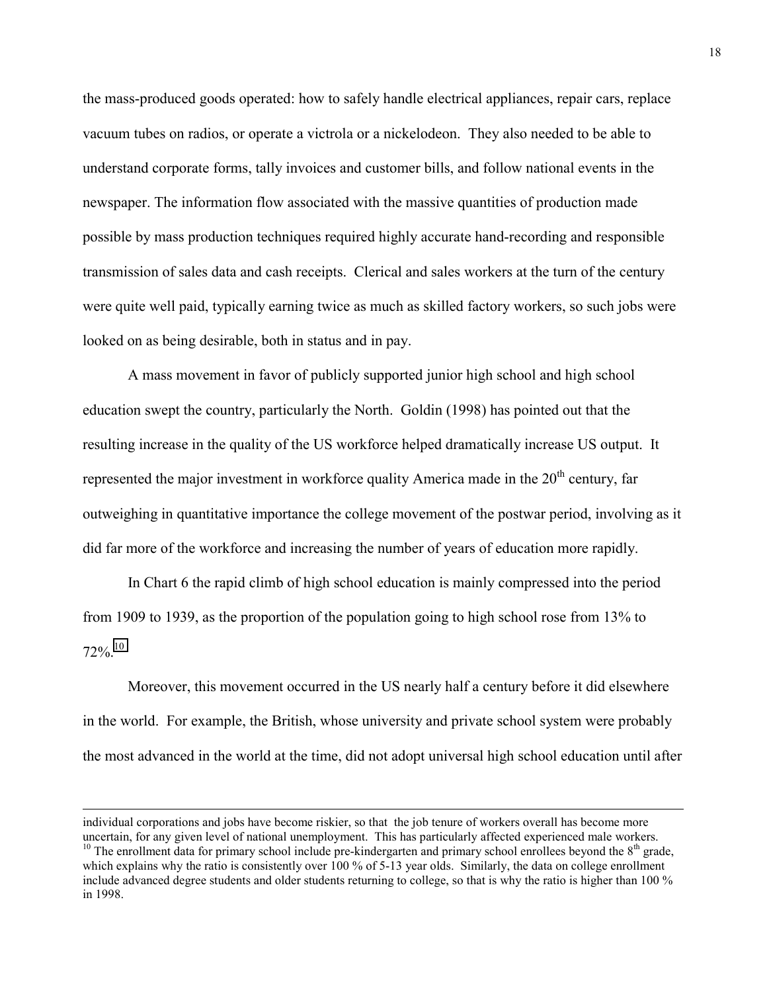the mass-produced goods operated: how to safely handle electrical appliances, repair cars, replace vacuum tubes on radios, or operate a victrola or a nickelodeon. They also needed to be able to understand corporate forms, tally invoices and customer bills, and follow national events in the newspaper. The information flow associated with the massive quantities of production made possible by mass production techniques required highly accurate hand-recording and responsible transmission of sales data and cash receipts. Clerical and sales workers at the turn of the century were quite well paid, typically earning twice as much as skilled factory workers, so such jobs were looked on as being desirable, both in status and in pay.

A mass movement in favor of publicly supported junior high school and high school education swept the country, particularly the North. Goldin (1998) has pointed out that the resulting increase in the quality of the US workforce helped dramatically increase US output. It represented the major investment in workforce quality America made in the  $20<sup>th</sup>$  century, far outweighing in quantitative importance the college movement of the postwar period, involving as it did far more of the workforce and increasing the number of years of education more rapidly.

In Chart 6 the rapid climb of high school education is mainly compressed into the period from 1909 to 1939, as the proportion of the population going to high school rose from 13% to  $72\%$ <sup>10</sup>

Moreover, this movement occurred in the US nearly half a century before it did elsewhere in the world. For example, the British, whose university and private school system were probably the most advanced in the world at the time, did not adopt universal high school education until after

individual corporations and jobs have become riskier, so that the job tenure of workers overall has become more uncertain, for any given level of national unemployment. This has particularly affected experienced male workers.

<sup>&</sup>lt;sup>10</sup> The enrollment data for primary school include pre-kindergarten and primary school enrollees beyond the  $8<sup>th</sup>$  grade, which explains why the ratio is consistently over 100 % of 5-13 year olds. Similarly, the data on college enrollment include advanced degree students and older students returning to college, so that is why the ratio is higher than 100 % in 1998.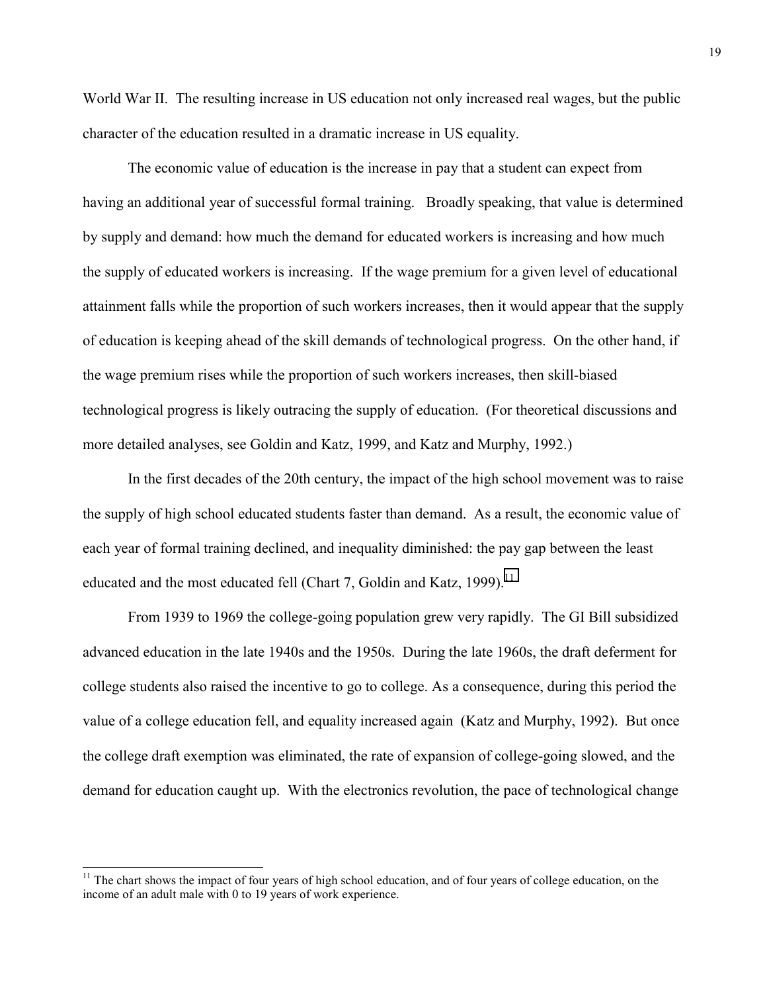World War II. The resulting increase in US education not only increased real wages, but the public character of the education resulted in a dramatic increase in US equality.

The economic value of education is the increase in pay that a student can expect from having an additional year of successful formal training. Broadly speaking, that value is determined by supply and demand: how much the demand for educated workers is increasing and how much the supply of educated workers is increasing. If the wage premium for a given level of educational attainment falls while the proportion of such workers increases, then it would appear that the supply of education is keeping ahead of the skill demands of technological progress. On the other hand, if the wage premium rises while the proportion of such workers increases, then skill-biased technological progress is likely outracing the supply of education. (For theoretical discussions and more detailed analyses, see Goldin and Katz, 1999, and Katz and Murphy, 1992.)

In the first decades of the 20th century, the impact of the high school movement was to raise the supply of high school educated students faster than demand. As a result, the economic value of each year of formal training declined, and inequality diminished: the pay gap between the least educated and the most educated fell (Chart 7, Goldin and Katz, 1999).<sup>11</sup>

From 1939 to 1969 the college-going population grew very rapidly. The GI Bill subsidized advanced education in the late 1940s and the 1950s. During the late 1960s, the draft deferment for college students also raised the incentive to go to college. As a consequence, during this period the value of a college education fell, and equality increased again (Katz and Murphy, 1992). But once the college draft exemption was eliminated, the rate of expansion of college-going slowed, and the demand for education caught up. With the electronics revolution, the pace of technological change

 $11$  The chart shows the impact of four years of high school education, and of four years of college education, on the income of an adult male with 0 to 19 years of work experience.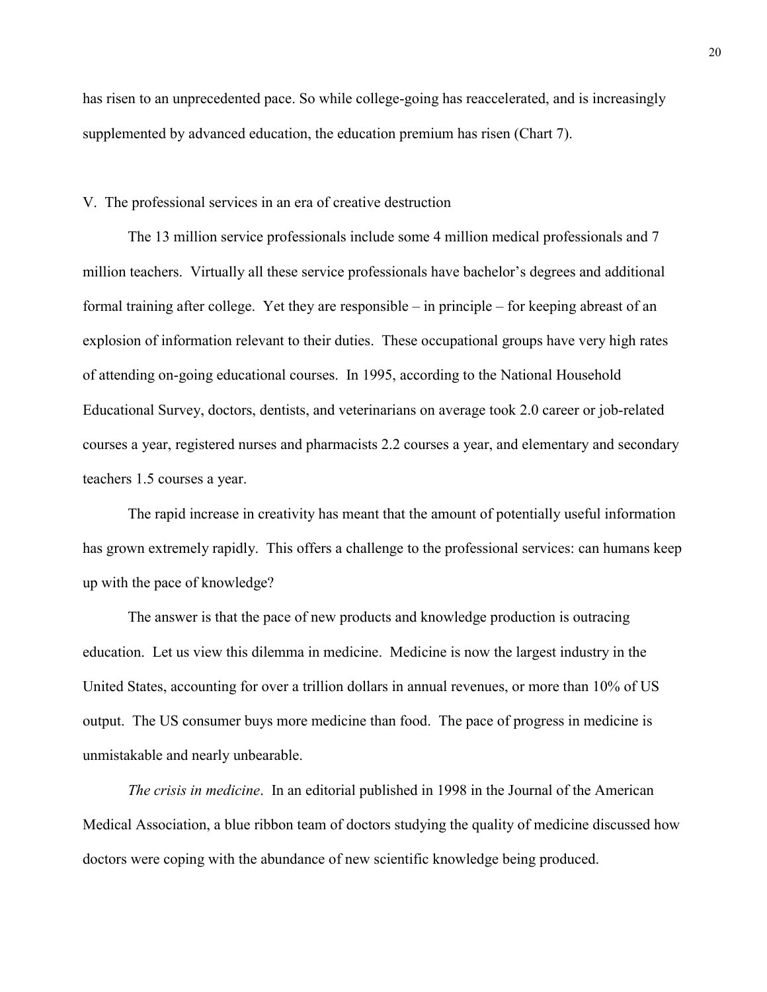has risen to an unprecedented pace. So while college-going has reaccelerated, and is increasingly supplemented by advanced education, the education premium has risen (Chart 7).

#### V. The professional services in an era of creative destruction

The 13 million service professionals include some 4 million medical professionals and 7 million teachers. Virtually all these service professionals have bachelor's degrees and additional formal training after college. Yet they are responsible – in principle – for keeping abreast of an explosion of information relevant to their duties. These occupational groups have very high rates of attending on-going educational courses. In 1995, according to the National Household Educational Survey, doctors, dentists, and veterinarians on average took 2.0 career or job-related courses a year, registered nurses and pharmacists 2.2 courses a year, and elementary and secondary teachers 1.5 courses a year.

The rapid increase in creativity has meant that the amount of potentially useful information has grown extremely rapidly. This offers a challenge to the professional services: can humans keep up with the pace of knowledge?

The answer is that the pace of new products and knowledge production is outracing education. Let us view this dilemma in medicine. Medicine is now the largest industry in the United States, accounting for over a trillion dollars in annual revenues, or more than 10% of US output. The US consumer buys more medicine than food. The pace of progress in medicine is unmistakable and nearly unbearable.

*The crisis in medicine*. In an editorial published in 1998 in the Journal of the American Medical Association, a blue ribbon team of doctors studying the quality of medicine discussed how doctors were coping with the abundance of new scientific knowledge being produced.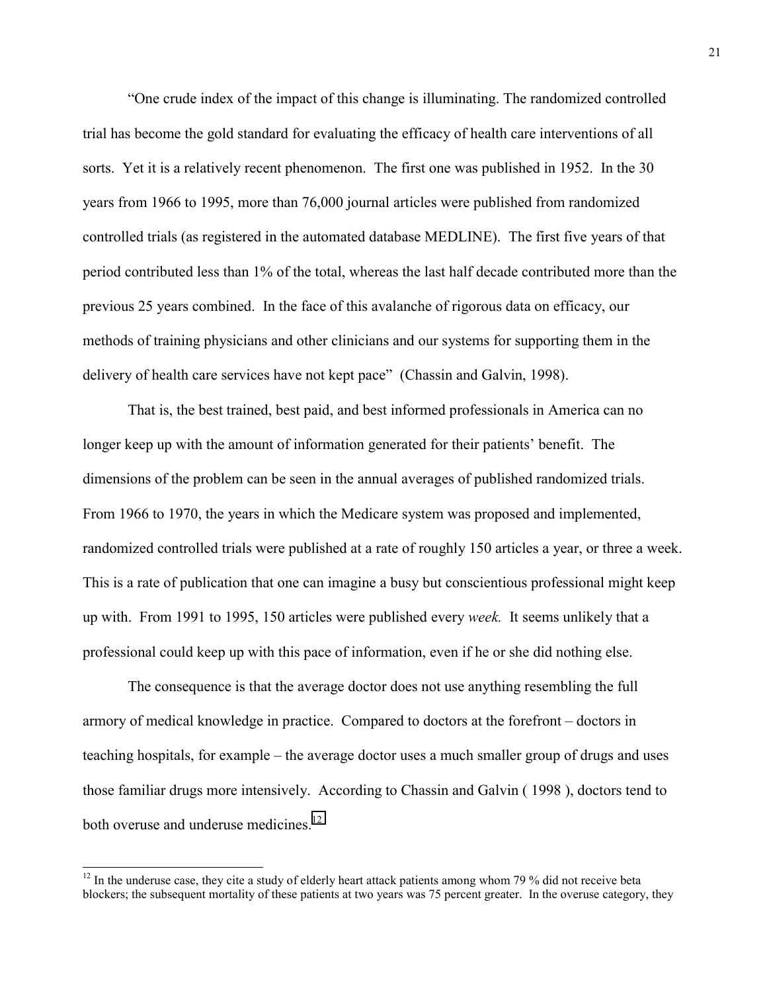"One crude index of the impact of this change is illuminating. The randomized controlled trial has become the gold standard for evaluating the efficacy of health care interventions of all sorts. Yet it is a relatively recent phenomenon. The first one was published in 1952. In the 30 years from 1966 to 1995, more than 76,000 journal articles were published from randomized controlled trials (as registered in the automated database MEDLINE). The first five years of that period contributed less than 1% of the total, whereas the last half decade contributed more than the previous 25 years combined. In the face of this avalanche of rigorous data on efficacy, our methods of training physicians and other clinicians and our systems for supporting them in the delivery of health care services have not kept pace" (Chassin and Galvin, 1998).

That is, the best trained, best paid, and best informed professionals in America can no longer keep up with the amount of information generated for their patients' benefit. The dimensions of the problem can be seen in the annual averages of published randomized trials. From 1966 to 1970, the years in which the Medicare system was proposed and implemented, randomized controlled trials were published at a rate of roughly 150 articles a year, or three a week. This is a rate of publication that one can imagine a busy but conscientious professional might keep up with. From 1991 to 1995, 150 articles were published every *week.* It seems unlikely that a professional could keep up with this pace of information, even if he or she did nothing else.

The consequence is that the average doctor does not use anything resembling the full armory of medical knowledge in practice. Compared to doctors at the forefront – doctors in teaching hospitals, for example – the average doctor uses a much smaller group of drugs and uses those familiar drugs more intensively. According to Chassin and Galvin ( 1998 ), doctors tend to both overuse and underuse medicines.<sup>12</sup>

 $12$  In the underuse case, they cite a study of elderly heart attack patients among whom 79 % did not receive beta blockers; the subsequent mortality of these patients at two years was 75 percent greater. In the overuse category, they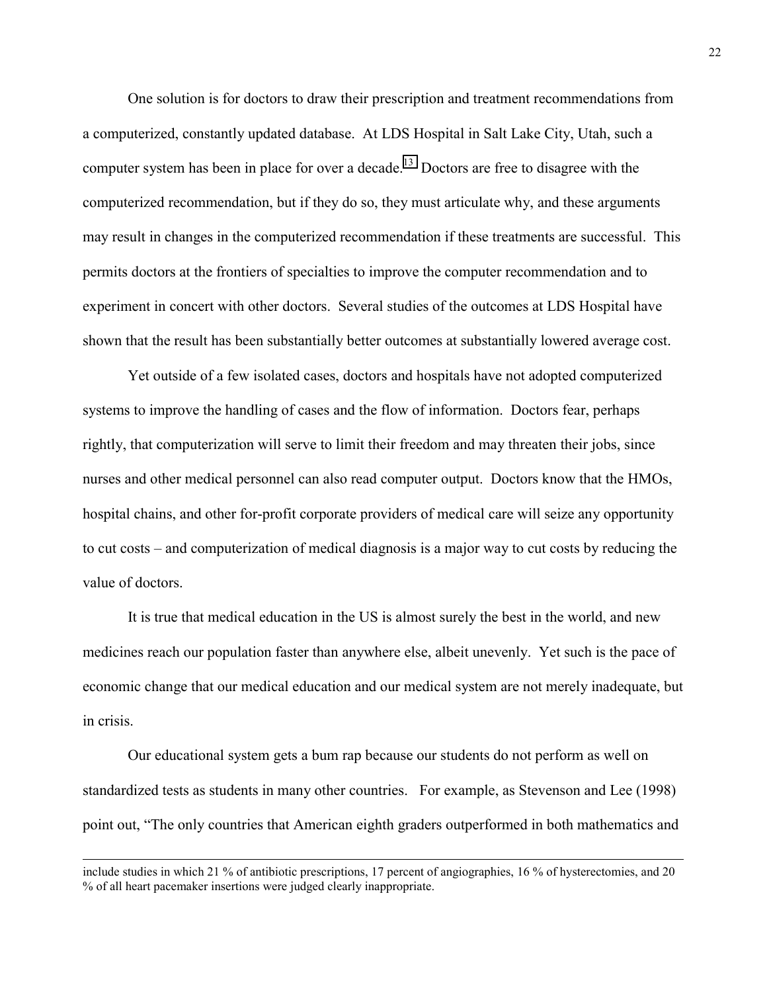One solution is for doctors to draw their prescription and treatment recommendations from a computerized, constantly updated database. At LDS Hospital in Salt Lake City, Utah, such a computer system has been in place for over a decade.<sup>13</sup> Doctors are free to disagree with the computerized recommendation, but if they do so, they must articulate why, and these arguments may result in changes in the computerized recommendation if these treatments are successful. This permits doctors at the frontiers of specialties to improve the computer recommendation and to experiment in concert with other doctors. Several studies of the outcomes at LDS Hospital have shown that the result has been substantially better outcomes at substantially lowered average cost.

Yet outside of a few isolated cases, doctors and hospitals have not adopted computerized systems to improve the handling of cases and the flow of information. Doctors fear, perhaps rightly, that computerization will serve to limit their freedom and may threaten their jobs, since nurses and other medical personnel can also read computer output. Doctors know that the HMOs, hospital chains, and other for-profit corporate providers of medical care will seize any opportunity to cut costs – and computerization of medical diagnosis is a major way to cut costs by reducing the value of doctors.

It is true that medical education in the US is almost surely the best in the world, and new medicines reach our population faster than anywhere else, albeit unevenly. Yet such is the pace of economic change that our medical education and our medical system are not merely inadequate, but in crisis.

Our educational system gets a bum rap because our students do not perform as well on standardized tests as students in many other countries. For example, as Stevenson and Lee (1998) point out, "The only countries that American eighth graders outperformed in both mathematics and

include studies in which 21 % of antibiotic prescriptions, 17 percent of angiographies, 16 % of hysterectomies, and 20 % of all heart pacemaker insertions were judged clearly inappropriate.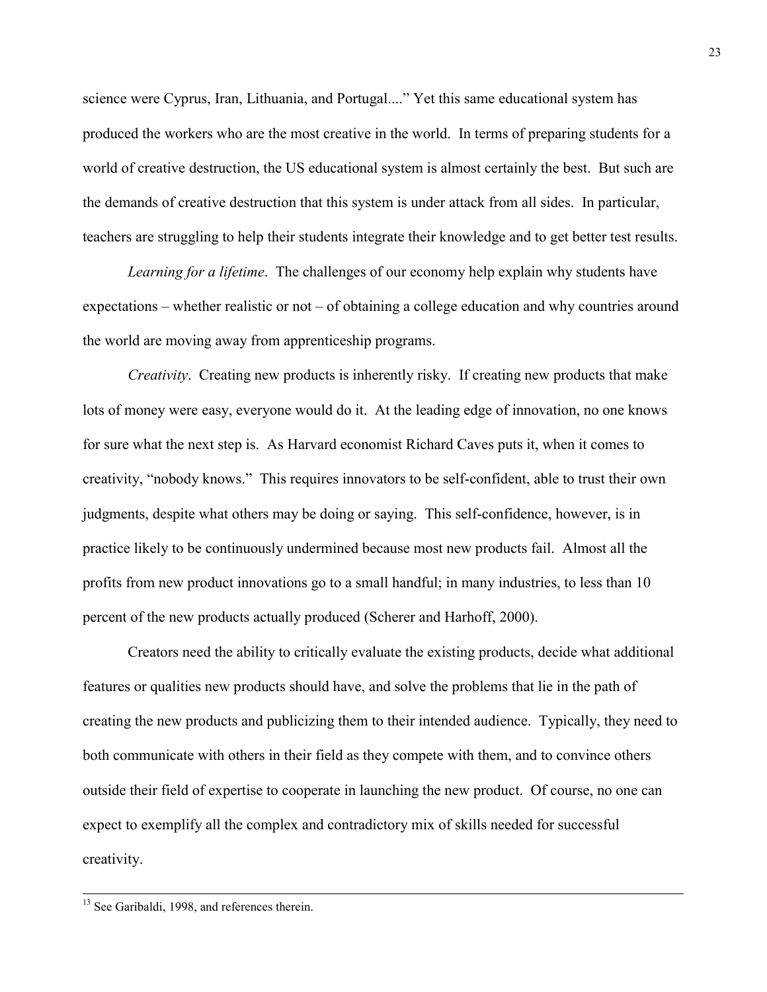science were Cyprus, Iran, Lithuania, and Portugal...." Yet this same educational system has produced the workers who are the most creative in the world. In terms of preparing students for a world of creative destruction, the US educational system is almost certainly the best. But such are the demands of creative destruction that this system is under attack from all sides. In particular, teachers are struggling to help their students integrate their knowledge and to get better test results.

*Learning for a lifetime*. The challenges of our economy help explain why students have expectations – whether realistic or not – of obtaining a college education and why countries around the world are moving away from apprenticeship programs.

*Creativity*. Creating new products is inherently risky. If creating new products that make lots of money were easy, everyone would do it. At the leading edge of innovation, no one knows for sure what the next step is. As Harvard economist Richard Caves puts it, when it comes to creativity, "nobody knows." This requires innovators to be self-confident, able to trust their own judgments, despite what others may be doing or saying. This self-confidence, however, is in practice likely to be continuously undermined because most new products fail. Almost all the profits from new product innovations go to a small handful; in many industries, to less than 10 percent of the new products actually produced (Scherer and Harhoff, 2000).

Creators need the ability to critically evaluate the existing products, decide what additional features or qualities new products should have, and solve the problems that lie in the path of creating the new products and publicizing them to their intended audience. Typically, they need to both communicate with others in their field as they compete with them, and to convince others outside their field of expertise to cooperate in launching the new product. Of course, no one can expect to exemplify all the complex and contradictory mix of skills needed for successful creativity.

<sup>&</sup>lt;sup>13</sup> See Garibaldi, 1998, and references therein.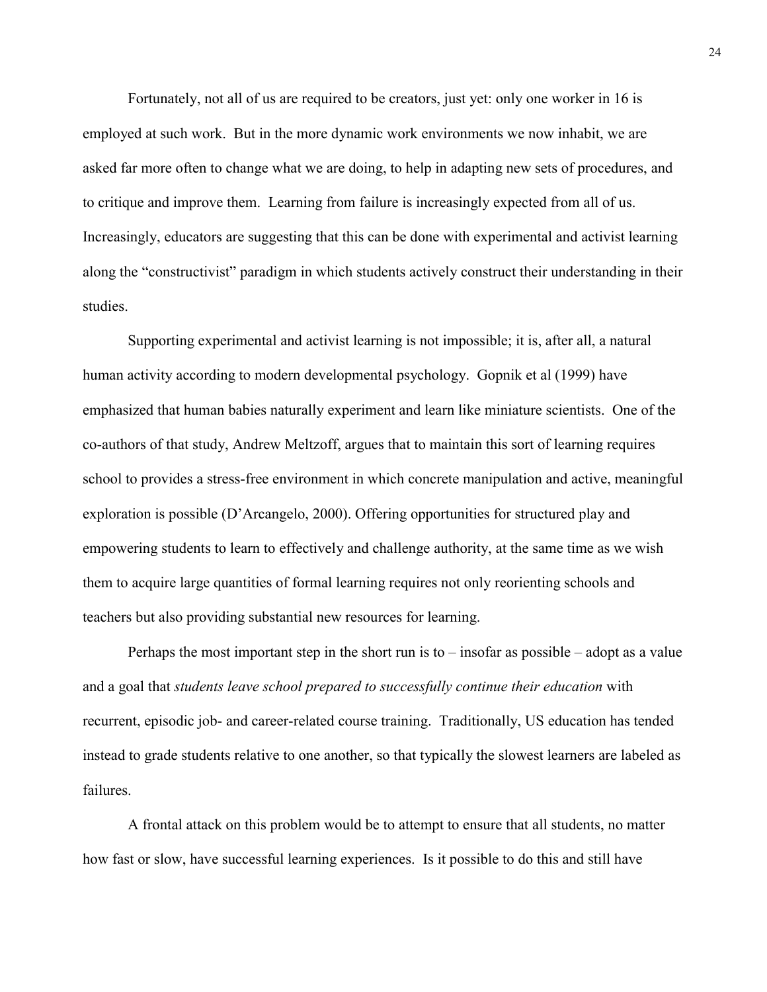Fortunately, not all of us are required to be creators, just yet: only one worker in 16 is employed at such work. But in the more dynamic work environments we now inhabit, we are asked far more often to change what we are doing, to help in adapting new sets of procedures, and to critique and improve them. Learning from failure is increasingly expected from all of us. Increasingly, educators are suggesting that this can be done with experimental and activist learning along the "constructivist" paradigm in which students actively construct their understanding in their studies.

Supporting experimental and activist learning is not impossible; it is, after all, a natural human activity according to modern developmental psychology. Gopnik et al (1999) have emphasized that human babies naturally experiment and learn like miniature scientists. One of the co-authors of that study, Andrew Meltzoff, argues that to maintain this sort of learning requires school to provides a stress-free environment in which concrete manipulation and active, meaningful exploration is possible (D'Arcangelo, 2000). Offering opportunities for structured play and empowering students to learn to effectively and challenge authority, at the same time as we wish them to acquire large quantities of formal learning requires not only reorienting schools and teachers but also providing substantial new resources for learning.

Perhaps the most important step in the short run is to – insofar as possible – adopt as a value and a goal that *students leave school prepared to successfully continue their education* with recurrent, episodic job- and career-related course training. Traditionally, US education has tended instead to grade students relative to one another, so that typically the slowest learners are labeled as failures.

A frontal attack on this problem would be to attempt to ensure that all students, no matter how fast or slow, have successful learning experiences. Is it possible to do this and still have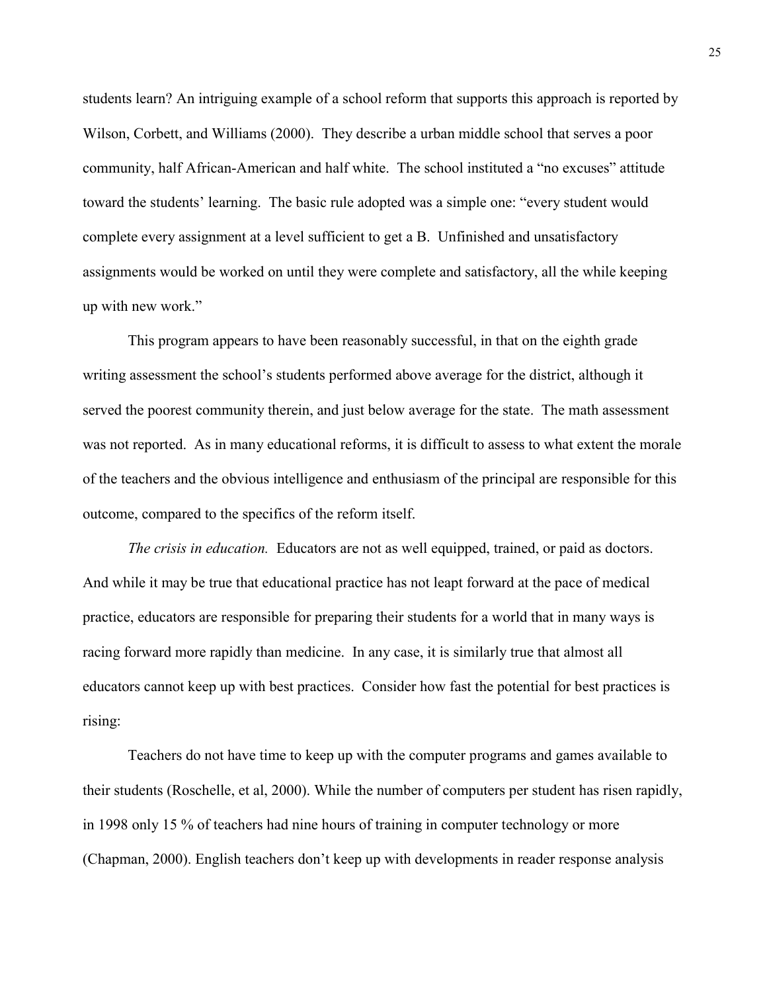students learn? An intriguing example of a school reform that supports this approach is reported by Wilson, Corbett, and Williams (2000). They describe a urban middle school that serves a poor community, half African-American and half white. The school instituted a "no excuses" attitude toward the students' learning. The basic rule adopted was a simple one: "every student would complete every assignment at a level sufficient to get a B. Unfinished and unsatisfactory assignments would be worked on until they were complete and satisfactory, all the while keeping up with new work."

This program appears to have been reasonably successful, in that on the eighth grade writing assessment the school's students performed above average for the district, although it served the poorest community therein, and just below average for the state. The math assessment was not reported. As in many educational reforms, it is difficult to assess to what extent the morale of the teachers and the obvious intelligence and enthusiasm of the principal are responsible for this outcome, compared to the specifics of the reform itself.

*The crisis in education.* Educators are not as well equipped, trained, or paid as doctors. And while it may be true that educational practice has not leapt forward at the pace of medical practice, educators are responsible for preparing their students for a world that in many ways is racing forward more rapidly than medicine. In any case, it is similarly true that almost all educators cannot keep up with best practices. Consider how fast the potential for best practices is rising:

Teachers do not have time to keep up with the computer programs and games available to their students (Roschelle, et al, 2000). While the number of computers per student has risen rapidly, in 1998 only 15 % of teachers had nine hours of training in computer technology or more (Chapman, 2000). English teachers don't keep up with developments in reader response analysis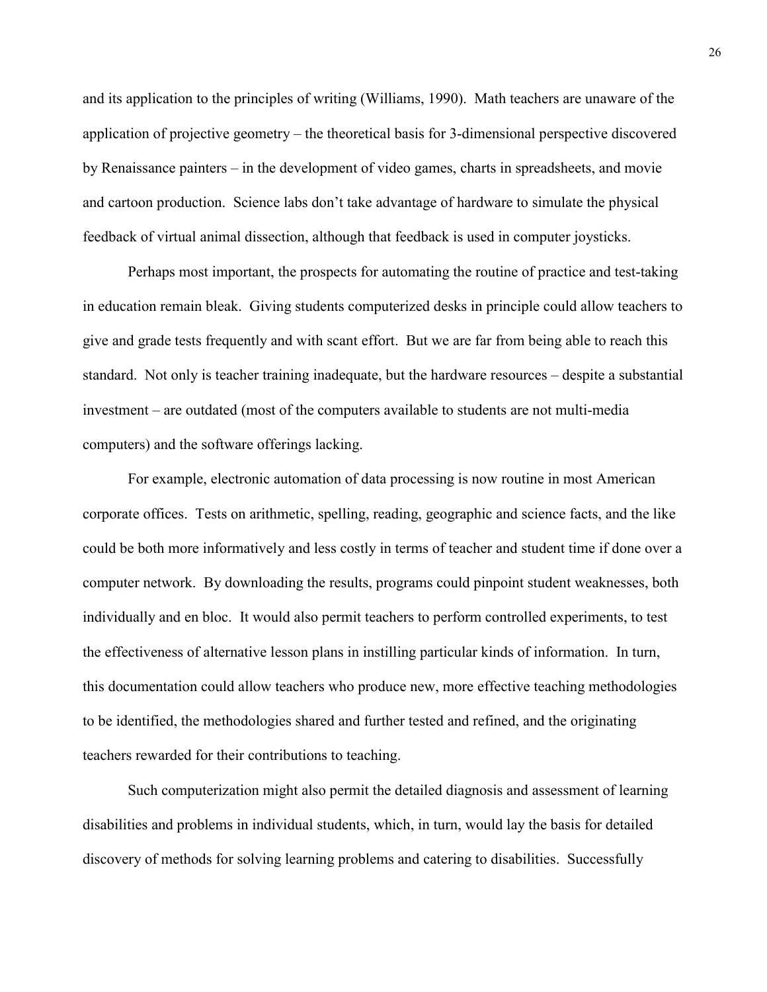and its application to the principles of writing (Williams, 1990). Math teachers are unaware of the application of projective geometry – the theoretical basis for 3-dimensional perspective discovered by Renaissance painters – in the development of video games, charts in spreadsheets, and movie and cartoon production. Science labs don't take advantage of hardware to simulate the physical feedback of virtual animal dissection, although that feedback is used in computer joysticks.

Perhaps most important, the prospects for automating the routine of practice and test-taking in education remain bleak. Giving students computerized desks in principle could allow teachers to give and grade tests frequently and with scant effort. But we are far from being able to reach this standard. Not only is teacher training inadequate, but the hardware resources – despite a substantial investment – are outdated (most of the computers available to students are not multi-media computers) and the software offerings lacking.

For example, electronic automation of data processing is now routine in most American corporate offices. Tests on arithmetic, spelling, reading, geographic and science facts, and the like could be both more informatively and less costly in terms of teacher and student time if done over a computer network. By downloading the results, programs could pinpoint student weaknesses, both individually and en bloc. It would also permit teachers to perform controlled experiments, to test the effectiveness of alternative lesson plans in instilling particular kinds of information. In turn, this documentation could allow teachers who produce new, more effective teaching methodologies to be identified, the methodologies shared and further tested and refined, and the originating teachers rewarded for their contributions to teaching.

Such computerization might also permit the detailed diagnosis and assessment of learning disabilities and problems in individual students, which, in turn, would lay the basis for detailed discovery of methods for solving learning problems and catering to disabilities. Successfully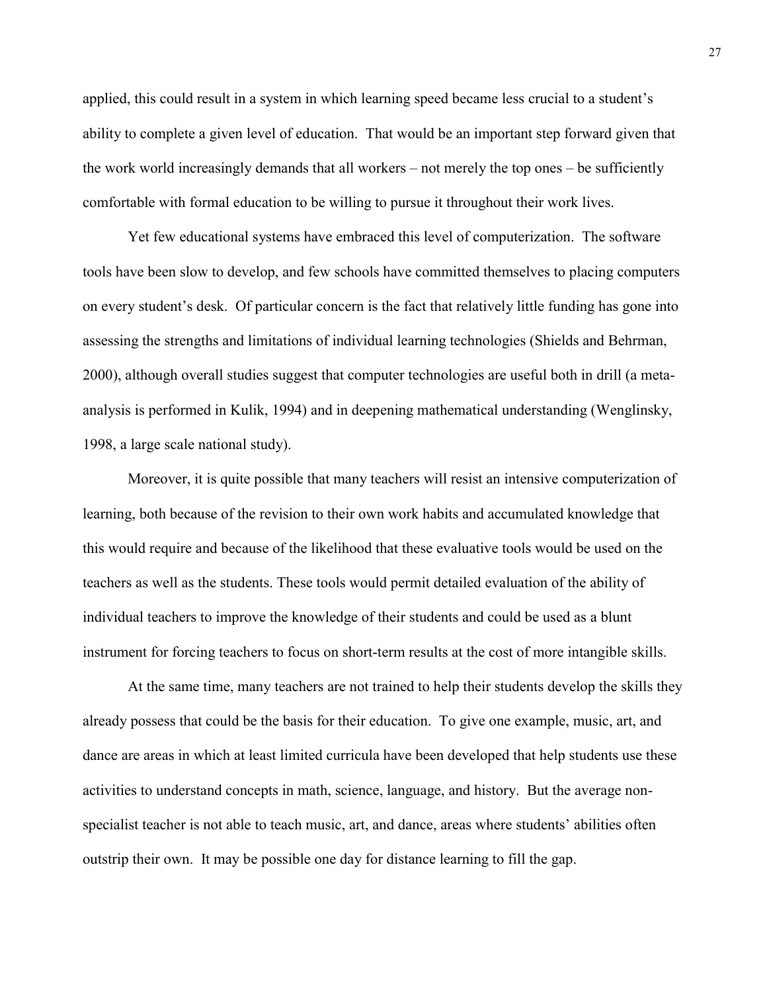applied, this could result in a system in which learning speed became less crucial to a student's ability to complete a given level of education. That would be an important step forward given that the work world increasingly demands that all workers – not merely the top ones – be sufficiently comfortable with formal education to be willing to pursue it throughout their work lives.

Yet few educational systems have embraced this level of computerization. The software tools have been slow to develop, and few schools have committed themselves to placing computers on every student's desk. Of particular concern is the fact that relatively little funding has gone into assessing the strengths and limitations of individual learning technologies (Shields and Behrman, 2000), although overall studies suggest that computer technologies are useful both in drill (a metaanalysis is performed in Kulik, 1994) and in deepening mathematical understanding (Wenglinsky, 1998, a large scale national study).

Moreover, it is quite possible that many teachers will resist an intensive computerization of learning, both because of the revision to their own work habits and accumulated knowledge that this would require and because of the likelihood that these evaluative tools would be used on the teachers as well as the students. These tools would permit detailed evaluation of the ability of individual teachers to improve the knowledge of their students and could be used as a blunt instrument for forcing teachers to focus on short-term results at the cost of more intangible skills.

At the same time, many teachers are not trained to help their students develop the skills they already possess that could be the basis for their education. To give one example, music, art, and dance are areas in which at least limited curricula have been developed that help students use these activities to understand concepts in math, science, language, and history. But the average nonspecialist teacher is not able to teach music, art, and dance, areas where students' abilities often outstrip their own. It may be possible one day for distance learning to fill the gap.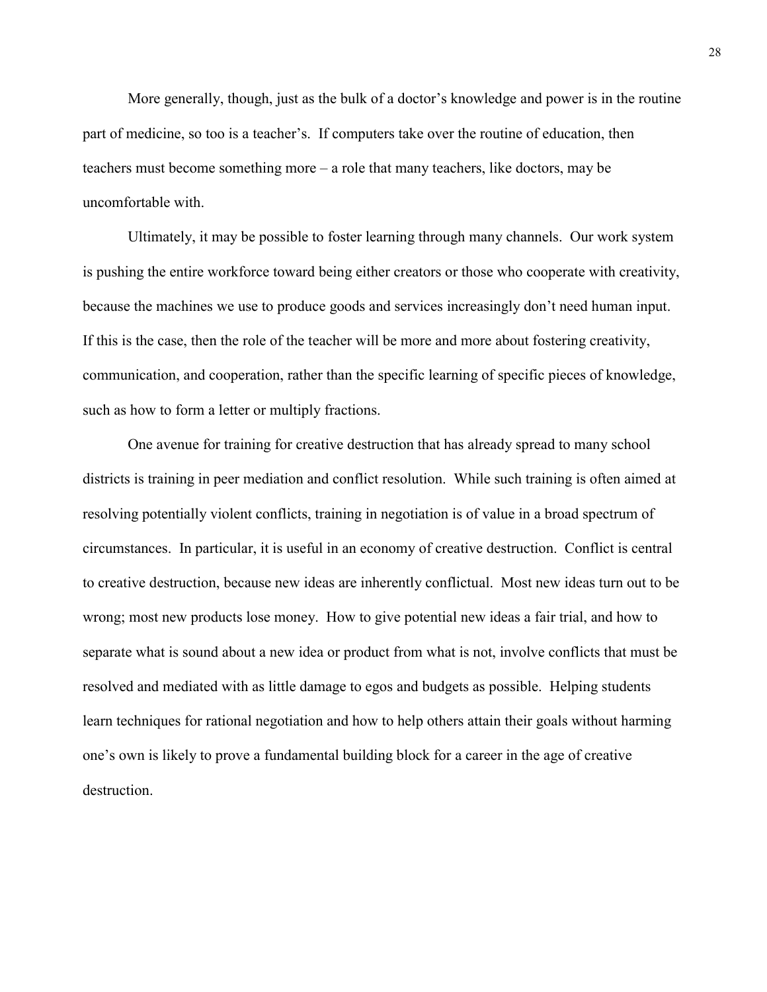More generally, though, just as the bulk of a doctor's knowledge and power is in the routine part of medicine, so too is a teacher's. If computers take over the routine of education, then teachers must become something more – a role that many teachers, like doctors, may be uncomfortable with.

Ultimately, it may be possible to foster learning through many channels. Our work system is pushing the entire workforce toward being either creators or those who cooperate with creativity, because the machines we use to produce goods and services increasingly don't need human input. If this is the case, then the role of the teacher will be more and more about fostering creativity, communication, and cooperation, rather than the specific learning of specific pieces of knowledge, such as how to form a letter or multiply fractions.

One avenue for training for creative destruction that has already spread to many school districts is training in peer mediation and conflict resolution. While such training is often aimed at resolving potentially violent conflicts, training in negotiation is of value in a broad spectrum of circumstances. In particular, it is useful in an economy of creative destruction. Conflict is central to creative destruction, because new ideas are inherently conflictual. Most new ideas turn out to be wrong; most new products lose money. How to give potential new ideas a fair trial, and how to separate what is sound about a new idea or product from what is not, involve conflicts that must be resolved and mediated with as little damage to egos and budgets as possible. Helping students learn techniques for rational negotiation and how to help others attain their goals without harming one's own is likely to prove a fundamental building block for a career in the age of creative destruction.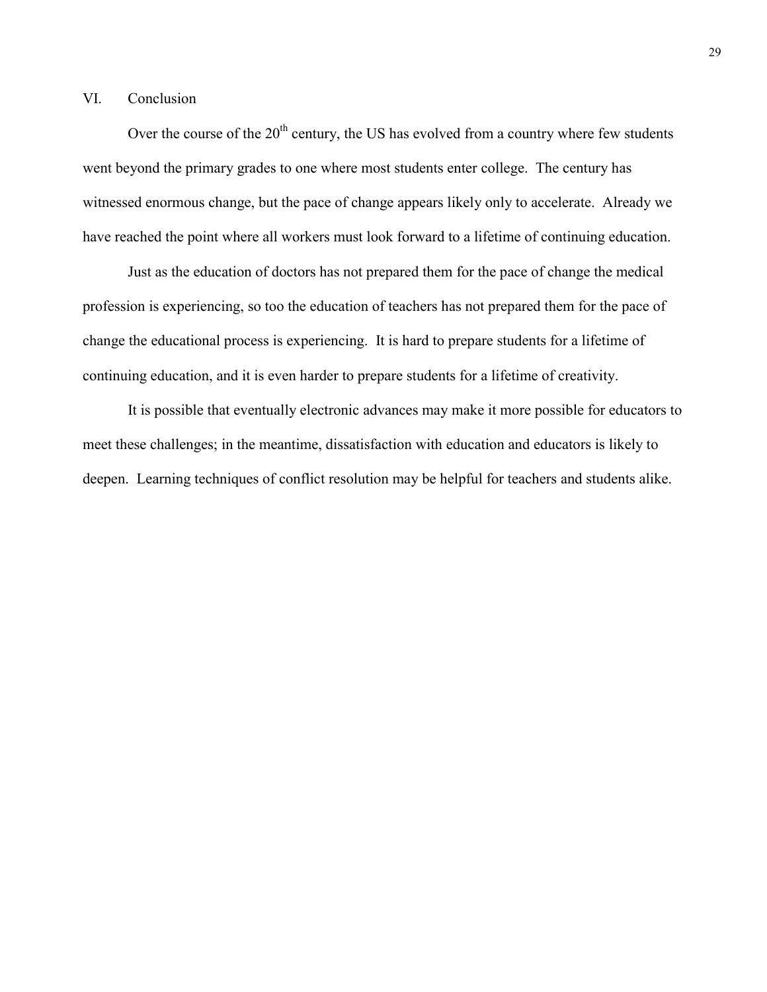#### VI. Conclusion

Over the course of the  $20<sup>th</sup>$  century, the US has evolved from a country where few students went beyond the primary grades to one where most students enter college. The century has witnessed enormous change, but the pace of change appears likely only to accelerate. Already we have reached the point where all workers must look forward to a lifetime of continuing education.

Just as the education of doctors has not prepared them for the pace of change the medical profession is experiencing, so too the education of teachers has not prepared them for the pace of change the educational process is experiencing. It is hard to prepare students for a lifetime of continuing education, and it is even harder to prepare students for a lifetime of creativity.

It is possible that eventually electronic advances may make it more possible for educators to meet these challenges; in the meantime, dissatisfaction with education and educators is likely to deepen. Learning techniques of conflict resolution may be helpful for teachers and students alike.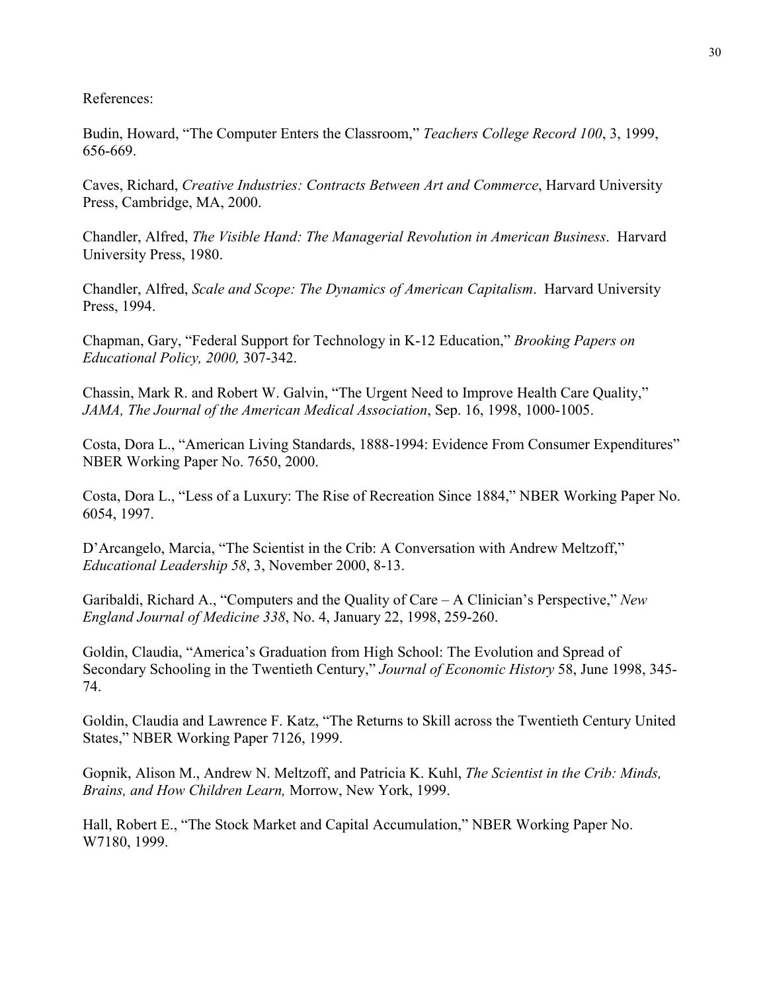References:

Budin, Howard, "The Computer Enters the Classroom," *Teachers College Record 100*, 3, 1999, 656-669.

Caves, Richard, *Creative Industries: Contracts Between Art and Commerce*, Harvard University Press, Cambridge, MA, 2000.

Chandler, Alfred, *The Visible Hand: The Managerial Revolution in American Business*. Harvard University Press, 1980.

Chandler, Alfred, *Scale and Scope: The Dynamics of American Capitalism*. Harvard University Press, 1994.

Chapman, Gary, "Federal Support for Technology in K-12 Education," *Brooking Papers on Educational Policy, 2000,* 307-342.

Chassin, Mark R. and Robert W. Galvin, "The Urgent Need to Improve Health Care Quality," *JAMA, The Journal of the American Medical Association*, Sep. 16, 1998, 1000-1005.

Costa, Dora L., "American Living Standards, 1888-1994: Evidence From Consumer Expenditures" NBER Working Paper No. 7650, 2000.

Costa, Dora L., "Less of a Luxury: The Rise of Recreation Since 1884," NBER Working Paper No. 6054, 1997.

D'Arcangelo, Marcia, "The Scientist in the Crib: A Conversation with Andrew Meltzoff," *Educational Leadership 58*, 3, November 2000, 8-13.

Garibaldi, Richard A., "Computers and the Quality of Care – A Clinician's Perspective," *New England Journal of Medicine 338*, No. 4, January 22, 1998, 259-260.

Goldin, Claudia, "America's Graduation from High School: The Evolution and Spread of Secondary Schooling in the Twentieth Century," *Journal of Economic History* 58, June 1998, 345- 74.

Goldin, Claudia and Lawrence F. Katz, "The Returns to Skill across the Twentieth Century United States," NBER Working Paper 7126, 1999.

Gopnik, Alison M., Andrew N. Meltzoff, and Patricia K. Kuhl, *The Scientist in the Crib: Minds, Brains, and How Children Learn,* Morrow, New York, 1999.

Hall, Robert E., "The Stock Market and Capital Accumulation," NBER Working Paper No. W7180, 1999.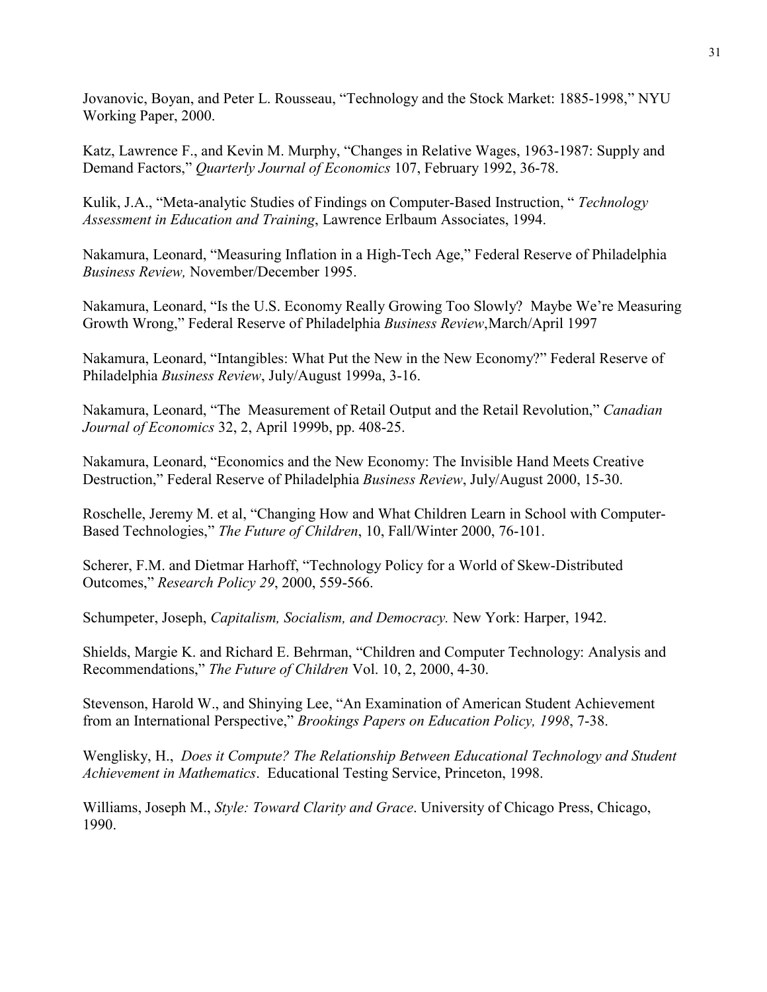Jovanovic, Boyan, and Peter L. Rousseau, "Technology and the Stock Market: 1885-1998," NYU Working Paper, 2000.

Katz, Lawrence F., and Kevin M. Murphy, "Changes in Relative Wages, 1963-1987: Supply and Demand Factors," *Quarterly Journal of Economics* 107, February 1992, 36-78.

Kulik, J.A., "Meta-analytic Studies of Findings on Computer-Based Instruction, " *Technology Assessment in Education and Training*, Lawrence Erlbaum Associates, 1994.

Nakamura, Leonard, "Measuring Inflation in a High-Tech Age," Federal Reserve of Philadelphia *Business Review,* November/December 1995.

Nakamura, Leonard, "Is the U.S. Economy Really Growing Too Slowly? Maybe We're Measuring Growth Wrong," Federal Reserve of Philadelphia *Business Review*,March/April 1997

Nakamura, Leonard, "Intangibles: What Put the New in the New Economy?" Federal Reserve of Philadelphia *Business Review*, July/August 1999a, 3-16.

Nakamura, Leonard, "The Measurement of Retail Output and the Retail Revolution," *Canadian Journal of Economics* 32, 2, April 1999b, pp. 408-25.

Nakamura, Leonard, "Economics and the New Economy: The Invisible Hand Meets Creative Destruction," Federal Reserve of Philadelphia *Business Review*, July/August 2000, 15-30.

Roschelle, Jeremy M. et al, "Changing How and What Children Learn in School with Computer-Based Technologies," *The Future of Children*, 10, Fall/Winter 2000, 76-101.

Scherer, F.M. and Dietmar Harhoff, "Technology Policy for a World of Skew-Distributed Outcomes," *Research Policy 29*, 2000, 559-566.

Schumpeter, Joseph, *Capitalism, Socialism, and Democracy.* New York: Harper, 1942.

Shields, Margie K. and Richard E. Behrman, "Children and Computer Technology: Analysis and Recommendations," *The Future of Children* Vol. 10, 2, 2000, 4-30.

Stevenson, Harold W., and Shinying Lee, "An Examination of American Student Achievement from an International Perspective," *Brookings Papers on Education Policy, 1998*, 7-38.

Wenglisky, H., *Does it Compute? The Relationship Between Educational Technology and Student Achievement in Mathematics*. Educational Testing Service, Princeton, 1998.

Williams, Joseph M., *Style: Toward Clarity and Grace*. University of Chicago Press, Chicago, 1990.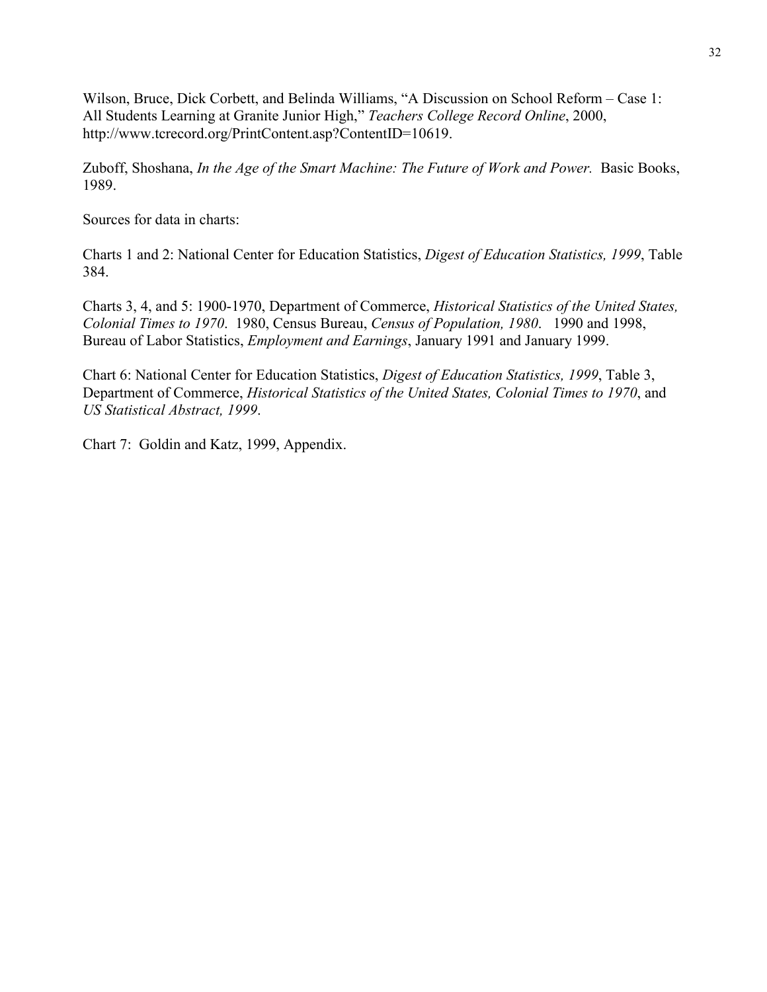Wilson, Bruce, Dick Corbett, and Belinda Williams, "A Discussion on School Reform – Case 1: All Students Learning at Granite Junior High," *Teachers College Record Online*, 2000, http://www.tcrecord.org/PrintContent.asp?ContentID=10619.

Zuboff, Shoshana, *In the Age of the Smart Machine: The Future of Work and Power.* Basic Books, 1989.

Sources for data in charts:

Charts 1 and 2: National Center for Education Statistics, *Digest of Education Statistics, 1999*, Table 384.

Charts 3, 4, and 5: 1900-1970, Department of Commerce, *Historical Statistics of the United States, Colonial Times to 1970*. 1980, Census Bureau, *Census of Population, 1980*. 1990 and 1998, Bureau of Labor Statistics, *Employment and Earnings*, January 1991 and January 1999.

Chart 6: National Center for Education Statistics, *Digest of Education Statistics, 1999*, Table 3, Department of Commerce, *Historical Statistics of the United States, Colonial Times to 1970*, and *US Statistical Abstract, 1999*.

Chart 7: Goldin and Katz, 1999, Appendix.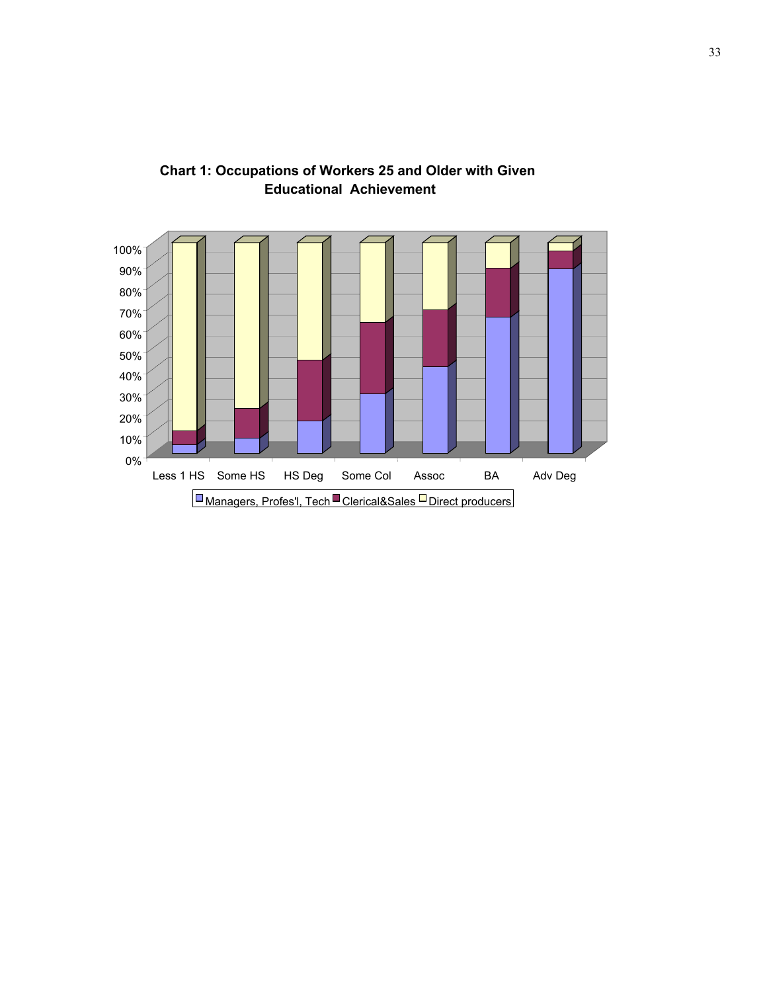

**Chart 1: Occupations of Workers 25 and Older with Given Educational Achievement**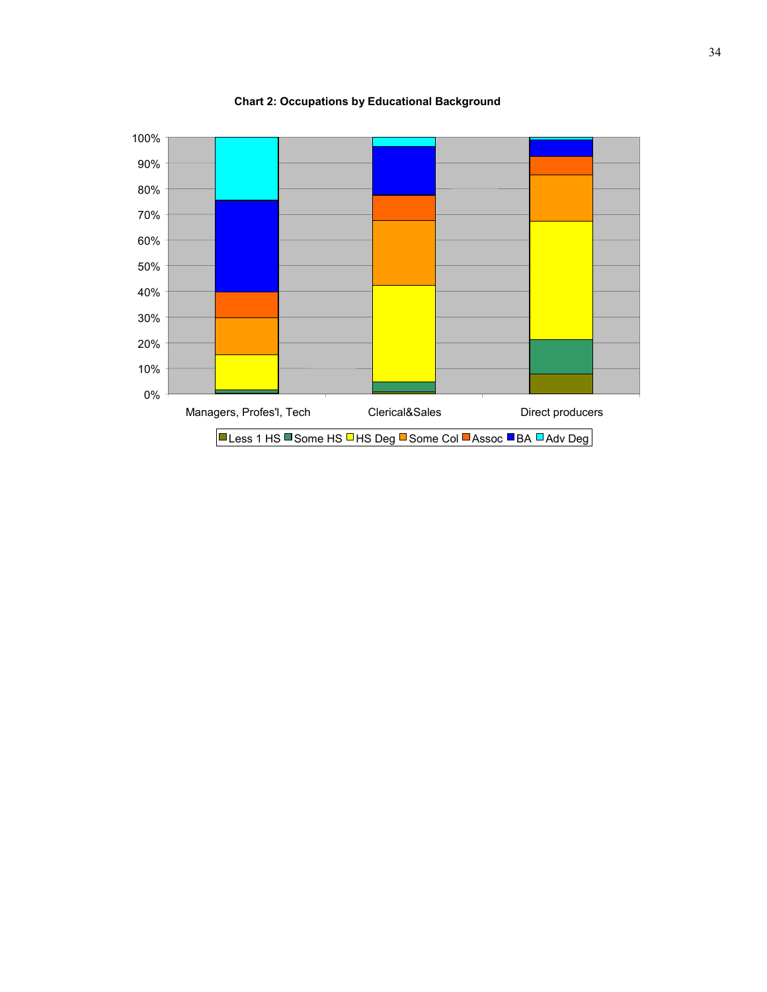

**Chart 2: Occupations by Educational Background**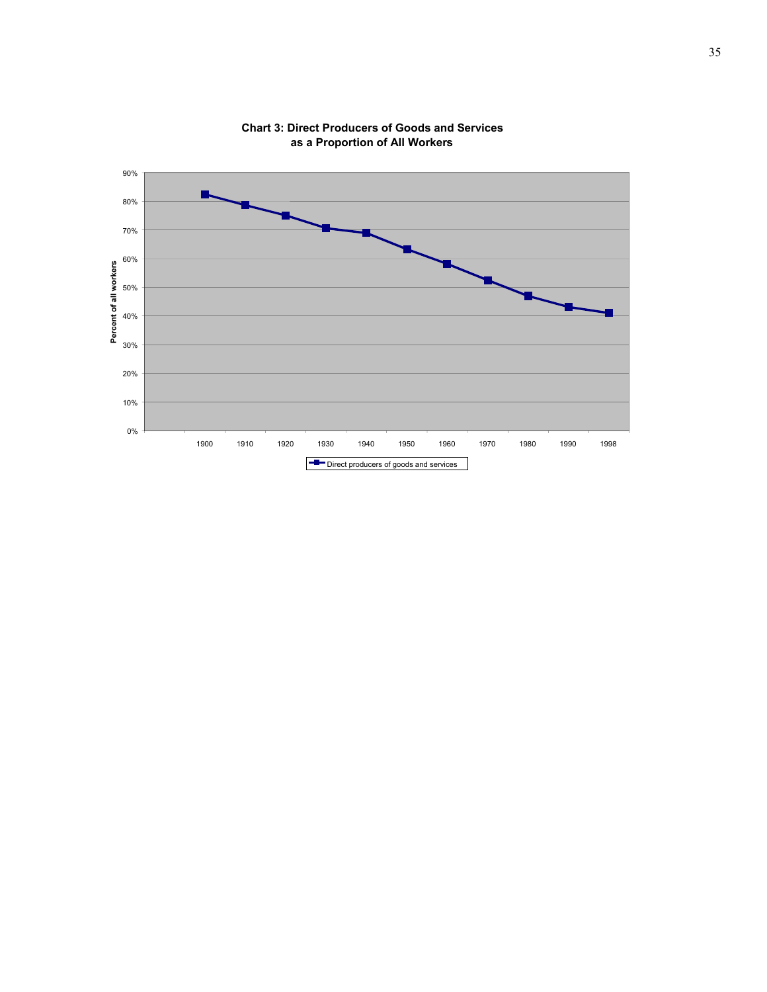

**Chart 3: Direct Producers of Goods and Services as a Proportion of All Workers**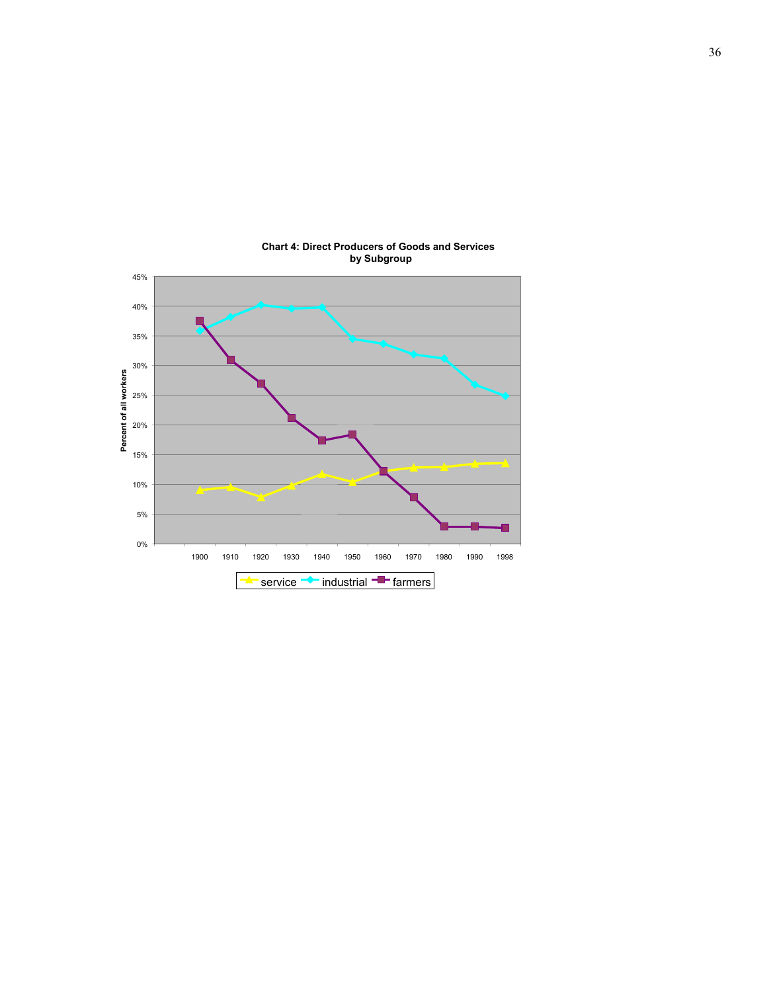

#### **Chart 4: Direct Producers of Goods and Services by Subgroup**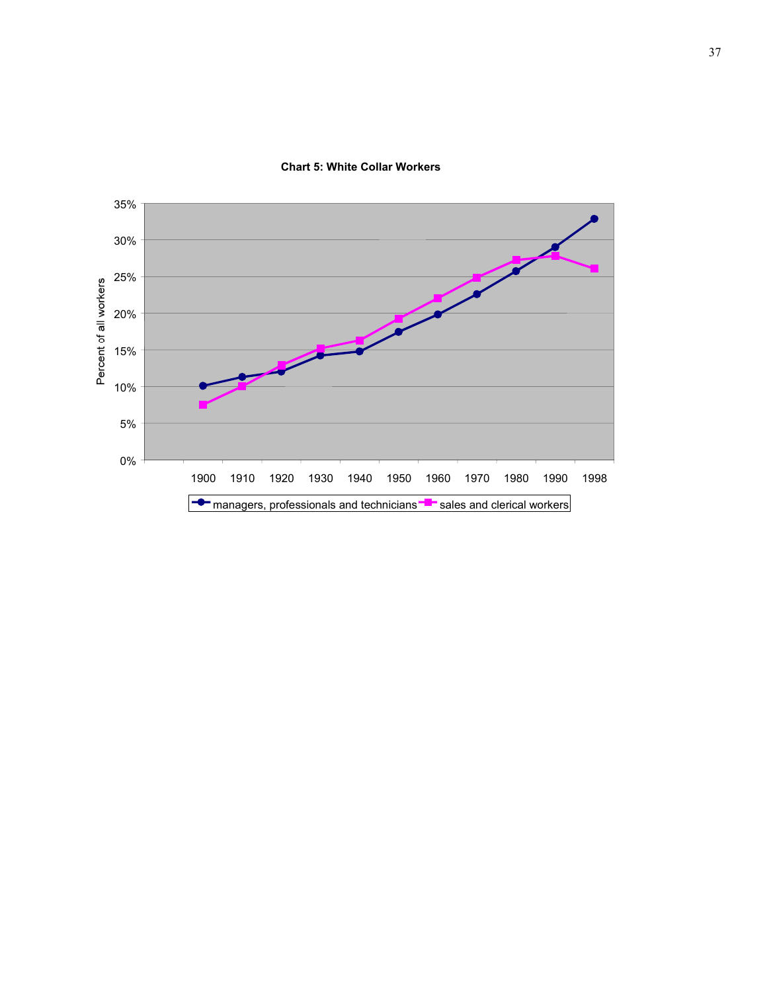

#### **Chart 5: White Collar Workers**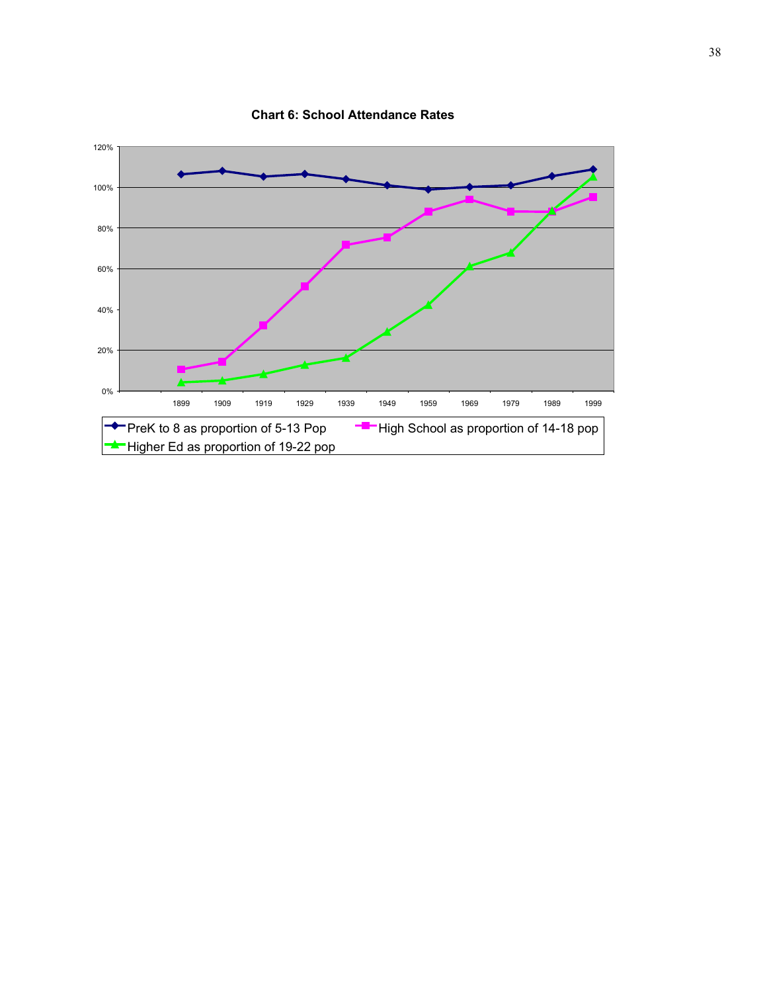

**Chart 6: School Attendance Rates**